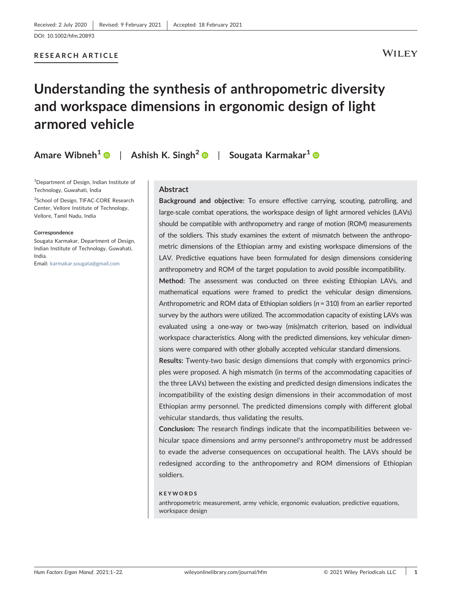## RESEARCH ARTICLE

## **WILEY**

# Understanding the synthesis of anthropometric diversity and workspace dimensions in ergonomic design of light armored vehicle

Amare Wibneh $^{\mathbf{1}}$   $\textcolor{red}{\bullet}\textcolor{black}{\parallel}$  Ashish K. Singh $^{\mathbf{2}}$   $\textcolor{red}{\bullet}\textcolor{black}{\parallel}$  Sougata Karmakar $^{\mathbf{1}}$ 

<sup>1</sup>Department of Design, Indian Institute of Technology, Guwahati, India

<sup>2</sup>School of Design, TIFAC-CORE Research Center, Vellore Institute of Technology, Vellore, Tamil Nadu, India

#### **Correspondence**

Sougata Karmakar, Department of Design, Indian Institute of Technology, Guwahati, India.

Email: karmakar.sougata@gmail.com

#### Abstract

Background and objective: To ensure effective carrying, scouting, patrolling, and large-scale combat operations, the workspace design of light armored vehicles (LAVs) should be compatible with anthropometry and range of motion (ROM) measurements of the soldiers. This study examines the extent of mismatch between the anthropometric dimensions of the Ethiopian army and existing workspace dimensions of the LAV. Predictive equations have been formulated for design dimensions considering anthropometry and ROM of the target population to avoid possible incompatibility.

Method: The assessment was conducted on three existing Ethiopian LAVs, and mathematical equations were framed to predict the vehicular design dimensions. Anthropometric and ROM data of Ethiopian soldiers (*n* = 310) from an earlier reported survey by the authors were utilized. The accommodation capacity of existing LAVs was evaluated using a one-way or two-way (mis)match criterion, based on individual workspace characteristics. Along with the predicted dimensions, key vehicular dimensions were compared with other globally accepted vehicular standard dimensions.

Results: Twenty‐two basic design dimensions that comply with ergonomics principles were proposed. A high mismatch (in terms of the accommodating capacities of the three LAVs) between the existing and predicted design dimensions indicates the incompatibility of the existing design dimensions in their accommodation of most Ethiopian army personnel. The predicted dimensions comply with different global vehicular standards, thus validating the results.

Conclusion: The research findings indicate that the incompatibilities between vehicular space dimensions and army personnel's anthropometry must be addressed to evade the adverse consequences on occupational health. The LAVs should be redesigned according to the anthropometry and ROM dimensions of Ethiopian soldiers.

#### KEYWORDS

anthropometric measurement, army vehicle, ergonomic evaluation, predictive equations, workspace design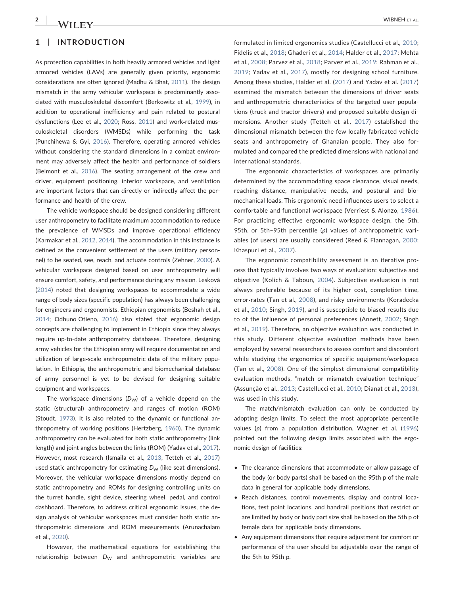## 1 | INTRODUCTION

As protection capabilities in both heavily armored vehicles and light armored vehicles (LAVs) are generally given priority, ergonomic considerations are often ignored (Madhu & Bhat, 2011). The design mismatch in the army vehicular workspace is predominantly associated with musculoskeletal discomfort (Berkowitz et al., 1999), in addition to operational inefficiency and pain related to postural dysfunctions (Lee et al., 2020; Ross, 2011) and work‐related musculoskeletal disorders (WMSDs) while performing the task (Punchihewa & Gyi, 2016). Therefore, operating armored vehicles without considering the standard dimensions in a combat environment may adversely affect the health and performance of soldiers (Belmont et al., 2016). The seating arrangement of the crew and driver, equipment positioning, interior workspace, and ventilation are important factors that can directly or indirectly affect the performance and health of the crew.

The vehicle workspace should be designed considering different user anthropometry to facilitate maximum accommodation to reduce the prevalence of WMSDs and improve operational efficiency (Karmakar et al., 2012, 2014). The accommodation in this instance is defined as the convenient settlement of the users (military personnel) to be seated, see, reach, and actuate controls (Zehner, 2000). A vehicular workspace designed based on user anthropometry will ensure comfort, safety, and performance during any mission. Lesková (2014) noted that designing workspaces to accommodate a wide range of body sizes (specific population) has always been challenging for engineers and ergonomists. Ethiopian ergonomists (Beshah et al., 2014; Odhuno‐Otieno, 2016) also stated that ergonomic design concepts are challenging to implement in Ethiopia since they always require up‐to‐date anthropometry databases. Therefore, designing army vehicles for the Ethiopian army will require documentation and utilization of large‐scale anthropometric data of the military population. In Ethiopia, the anthropometric and biomechanical database of army personnel is yet to be devised for designing suitable equipment and workspaces.

The workspace dimensions  $(D_W)$  of a vehicle depend on the static (structural) anthropometry and ranges of motion (ROM) (Stoudt, 1973). It is also related to the dynamic or functional anthropometry of working positions (Hertzberg, 1960). The dynamic anthropometry can be evaluated for both static anthropometry (link length) and joint angles between the links (ROM) (Yadav et al., 2017). However, most research (Ismaila et al., 2013; Tetteh et al., 2017) used static anthropometry for estimating *D<sub>W</sub>* (like seat dimensions). Moreover, the vehicular workspace dimensions mostly depend on static anthropometry and ROMs for designing controlling units on the turret handle, sight device, steering wheel, pedal, and control dashboard. Therefore, to address critical ergonomic issues, the design analysis of vehicular workspaces must consider both static anthropometric dimensions and ROM measurements (Arunachalam et al., 2020).

However, the mathematical equations for establishing the relationship between *D<sub>W</sub>* and anthropometric variables are formulated in limited ergonomics studies (Castellucci et al., 2010; Fidelis et al., 2018; Ghaderi et al., 2014; Halder et al., 2017; Mehta et al., 2008; Parvez et al., 2018; Parvez et al., 2019; Rahman et al., 2019; Yadav et al., 2017), mostly for designing school furniture. Among these studies, Halder et al. (2017) and Yadav et al. (2017) examined the mismatch between the dimensions of driver seats and anthropometric characteristics of the targeted user populations (truck and tractor drivers) and proposed suitable design dimensions. Another study (Tetteh et al., 2017) established the dimensional mismatch between the few locally fabricated vehicle seats and anthropometry of Ghanaian people. They also formulated and compared the predicted dimensions with national and international standards.

The ergonomic characteristics of workspaces are primarily determined by the accommodating space clearance, visual needs, reaching distance, manipulative needs, and postural and biomechanical loads. This ergonomic need influences users to select a comfortable and functional workspace (Verriest & Alonzo, 1986). For practicing effective ergonomic workspace design, the 5th, 95th, or 5th–95th percentile (*p*) values of anthropometric variables (of users) are usually considered (Reed & Flannagan, 2000; Khaspuri et al., 2007).

The ergonomic compatibility assessment is an iterative process that typically involves two ways of evaluation: subjective and objective (Kolich & Taboun, 2004). Subjective evaluation is not always preferable because of its higher cost, completion time, error‐rates (Tan et al., 2008), and risky environments (Koradecka et al., 2010; Singh, 2019), and is susceptible to biased results due to of the influence of personal preferences (Annett, 2002; Singh et al., 2019). Therefore, an objective evaluation was conducted in this study. Different objective evaluation methods have been employed by several researchers to assess comfort and discomfort while studying the ergonomics of specific equipment/workspace (Tan et al., 2008). One of the simplest dimensional compatibility evaluation methods, "match or mismatch evaluation technique" (Assunção et al., 2013; Castellucci et al., 2010; Dianat et al., 2013), was used in this study.

The match/mismatch evaluation can only be conducted by adopting design limits. To select the most appropriate percentile values (*p*) from a population distribution, Wagner et al. (1996) pointed out the following design limits associated with the ergonomic design of facilities:

- The clearance dimensions that accommodate or allow passage of the body (or body parts) shall be based on the 95th p of the male data in general for applicable body dimensions.
- Reach distances, control movements, display and control locations, test point locations, and handrail positions that restrict or are limited by body or body part size shall be based on the 5th p of female data for applicable body dimensions.
- Any equipment dimensions that require adjustment for comfort or performance of the user should be adjustable over the range of the 5th to 95th p.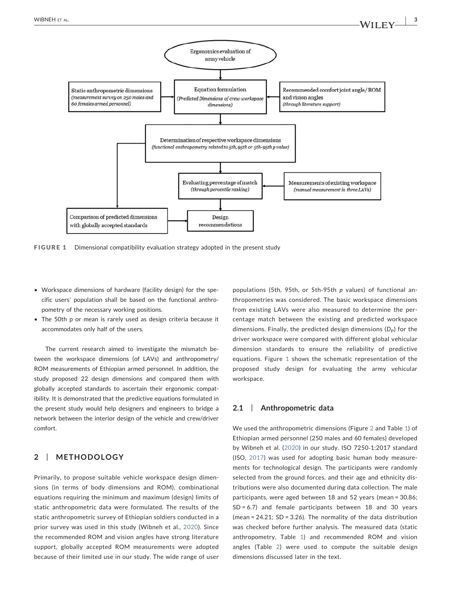

FIGURE 1 Dimensional compatibility evaluation strategy adopted in the present study

- Workspace dimensions of hardware (facility design) for the specific users' population shall be based on the functional anthropometry of the necessary working positions.
- The 50th p or mean is rarely used as design criteria because it accommodates only half of the users.

The current research aimed to investigate the mismatch between the workspace dimensions (of LAVs) and anthropometry/ ROM measurements of Ethiopian armed personnel. In addition, the study proposed 22 design dimensions and compared them with globally accepted standards to ascertain their ergonomic compatibility. It is demonstrated that the predictive equations formulated in the present study would help designers and engineers to bridge a network between the interior design of the vehicle and crew/driver comfort.

## 2 | METHODOLOGY

Primarily, to propose suitable vehicle workspace design dimensions (in terms of body dimensions and ROM), combinational equations requiring the minimum and maximum (design) limits of static anthropometric data were formulated. The results of the static anthropometric survey of Ethiopian soldiers conducted in a prior survey was used in this study (Wibneh et al., 2020). Since the recommended ROM and vision angles have strong literature support, globally accepted ROM measurements were adopted because of their limited use in our study. The wide range of user populations (5th, 95th, or 5th‐95th *p* values) of functional anthropometries was considered. The basic workspace dimensions from existing LAVs were also measured to determine the percentage match between the existing and predicted workspace dimensions. Finally, the predicted design dimensions (D<sub>P</sub>) for the driver workspace were compared with different global vehicular dimension standards to ensure the reliability of predictive equations. Figure 1 shows the schematic representation of the proposed study design for evaluating the army vehicular workspace.

## 2.1 | Anthropometric data

We used the anthropometric dimensions (Figure 2 and Table 1) of Ethiopian armed personnel (250 males and 60 females) developed by Wibneh et al. (2020) in our study. ISO 7250‐1:2017 standard (ISO, 2017) was used for adopting basic human body measurements for technological design. The participants were randomly selected from the ground forces, and their age and ethnicity distributions were also documented during data collection. The male participants, were aged between 18 and 52 years (mean = 30.86; SD = 6.7) and female participants between 18 and 30 years (mean =  $24.21$ ; SD =  $3.26$ ). The normality of the data distribution was checked before further analysis. The measured data (static anthropometry, Table 1) and recommended ROM and vision angles (Table 2) were used to compute the suitable design dimensions discussed later in the text.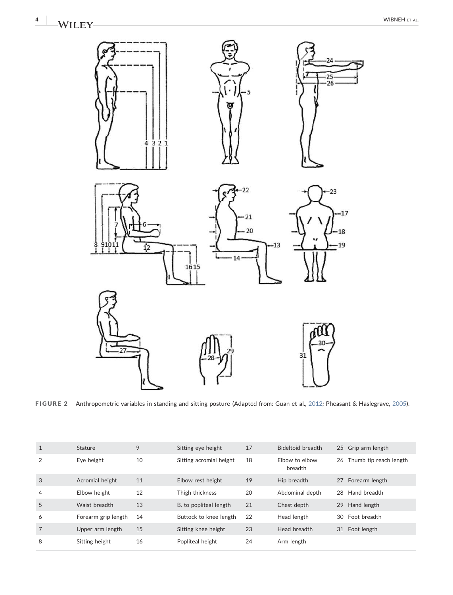

FIGURE 2 Anthropometric variables in standing and sitting posture (Adapted from: Guan et al., 2012*;* Pheasant & Haslegrave, 2005).

| $\mathbf{1}$ | Stature             | 9  | Sitting eye height      | 17 | Bideltoid breadth         |    | 25 Grip arm length     |
|--------------|---------------------|----|-------------------------|----|---------------------------|----|------------------------|
| 2            | Eye height          | 10 | Sitting acromial height | 18 | Elbow to elbow<br>breadth | 26 | Thumb tip reach length |
| 3            | Acromial height     | 11 | Elbow rest height       | 19 | Hip breadth               |    | 27 Forearm length      |
| 4            | Elbow height        | 12 | Thigh thickness         | 20 | Abdominal depth           | 28 | Hand breadth           |
| 5            | Waist breadth       | 13 | B. to popliteal length  | 21 | Chest depth               | 29 | Hand length            |
| 6            | Forearm grip length | 14 | Buttock to knee length  | 22 | Head length               | 30 | Foot breadth           |
| 7            | Upper arm length    | 15 | Sitting knee height     | 23 | Head breadth              | 31 | Foot length            |
| 8            | Sitting height      | 16 | Popliteal height        | 24 | Arm length                |    |                        |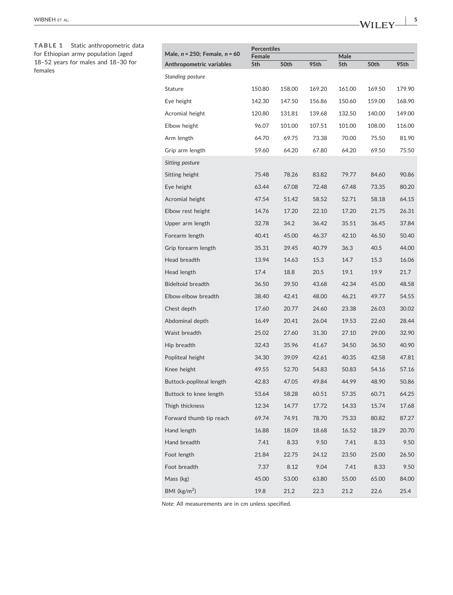TABLE 1 Static anthropometric data for Ethiopian army population (aged 18–52 years for males and 18–30 for females

| Male, $n = 250$ ; Female, $n = 60$ | <b>Percentiles</b> |        |        |             |        |        |
|------------------------------------|--------------------|--------|--------|-------------|--------|--------|
| Anthropometric variables           | Female<br>5th      | 50th   | 95th   | Male<br>5th | 50th   | 95th   |
| Standing posture                   |                    |        |        |             |        |        |
| Stature                            | 150.80             | 158.00 | 169.20 | 161.00      | 169.50 | 179.90 |
| Eye height                         | 142.30             | 147.50 | 156.86 | 150.60      | 159.00 | 168.90 |
| Acromial height                    | 120.80             | 131.81 | 139.68 | 132.50      | 140.00 | 149.00 |
| Elbow height                       | 96.07              | 101.00 | 107.51 | 101.00      | 108.00 | 116.00 |
| Arm length                         | 64.70              | 69.75  | 73.38  | 70.00       | 75.50  | 81.90  |
| Grip arm length                    | 59.60              | 64.20  | 67.80  | 64.20       | 69.50  | 75.50  |
| Sitting posture                    |                    |        |        |             |        |        |
| Sitting height                     | 75.48              | 78.26  | 83.82  | 79.77       | 84.60  | 90.86  |
| Eye height                         | 63.44              | 67.08  | 72.48  | 67.48       | 73.35  | 80.20  |
| Acromial height                    | 47.54              | 51.42  | 58.52  | 52.71       | 58.18  | 64.15  |
| Elbow rest height                  | 14.76              | 17.20  | 22.10  | 17.20       | 21.75  | 26.31  |
| Upper arm length                   | 32.78              | 34.2   | 36.42  | 35.51       | 36.45  | 37.84  |
| Forearm length                     | 40.41              | 45.00  | 46.37  | 42.10       | 46.50  | 50.40  |
| Grip forearm length                | 35.31              | 39.45  | 40.79  | 36.3        | 40.5   | 44.00  |
| Head breadth                       | 13.94              | 14.63  | 15.3   | 14.7        | 15.3   | 16.06  |
| Head length                        | 17.4               | 18.8   | 20.5   | 19.1        | 19.9   | 21.7   |
| <b>Bideltoid breadth</b>           | 36.50              | 39.50  | 43.68  | 42.34       | 45.00  | 48.58  |
| Elbow-elbow breadth                | 38.40              | 42.41  | 48.00  | 46.21       | 49.77  | 54.55  |
| Chest depth                        | 17.60              | 20.77  | 24.60  | 23.38       | 26.03  | 30.02  |
| Abdominal depth                    | 16.49              | 20.41  | 26.04  | 19.53       | 22.60  | 28.44  |
| Waist breadth                      | 25.02              | 27.60  | 31.30  | 27.10       | 29.00  | 32.90  |
| Hip breadth                        | 32.43              | 35.96  | 41.67  | 34.50       | 36.50  | 40.90  |
| Popliteal height                   | 34.30              | 39.09  | 42.61  | 40.35       | 42.58  | 47.81  |
| Knee height                        | 49.55              | 52.70  | 54.83  | 50.83       | 54.16  | 57.16  |
| Buttock-popliteal length           | 42.83              | 47.05  | 49.84  | 44.99       | 48.90  | 50.86  |
| Buttock to knee length             | 53.64              | 58.28  | 60.51  | 57.35       | 60.71  | 64.25  |
| Thigh thickness                    | 12.34              | 14.77  | 17.72  | 14.33       | 15.74  | 17.68  |
| Forward thumb tip reach            | 69.74              | 74.91  | 78.70  | 75.33       | 80.82  | 87.27  |
| Hand length                        | 16.88              | 18.09  | 18.68  | 16.52       | 18.29  | 20.70  |
| Hand breadth                       | 7.41               | 8.33   | 9.50   | 7.41        | 8.33   | 9.50   |
| Foot length                        | 21.84              | 22.75  | 24.12  | 23.50       | 25.00  | 26.50  |
| Foot breadth                       | 7.37               | 8.12   | 9.04   | 7.41        | 8.33   | 9.50   |
| Mass (kg)                          | 45.00              | 53.00  | 63.80  | 55.00       | 65.00  | 84.00  |
| BMI ( $\text{kg/m}^2$ )            | 19.8               | 21.2   | 22.3   | 21.2        | 22.6   | 25.4   |

*Note*: All measurements are in cm unless specified.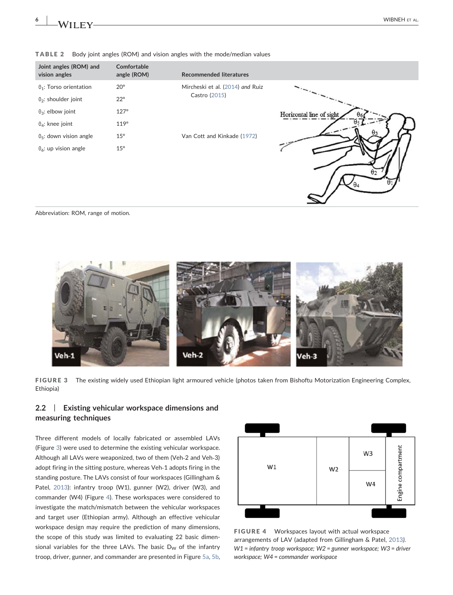$\theta_4$ 

#### TABLE 2 Body joint angles (ROM) and vision angles with the mode/median values

| Joint angles (ROM) and<br>vision angles   | Comfortable<br>angle (ROM) | <b>Recommended literatures</b>   |                          |  |  |  |
|-------------------------------------------|----------------------------|----------------------------------|--------------------------|--|--|--|
| $\theta_1$ : Torso orientation            | $20^{\circ}$               | Mircheski et al. (2014) and Ruiz |                          |  |  |  |
| $\theta_2$ : shoulder joint               | $22^{\circ}$               | Castro (2015)                    | Horizontal line of sight |  |  |  |
| $\theta_3$ : elbow joint                  | $127^\circ$                |                                  |                          |  |  |  |
| $\theta_4$ : knee joint                   | $119^\circ$                |                                  |                          |  |  |  |
| $\theta$ <sub>5</sub> : down vision angle | $15^{\circ}$               | Van Cott and Kinkade (1972)      |                          |  |  |  |
| $\theta_6$ : up vision angle              | $15^{\circ}$               |                                  |                          |  |  |  |

Abbreviation: ROM, range of motion.



FIGURE 3 The existing widely used Ethiopian light armoured vehicle (photos taken from Bishoftu Motorization Engineering Complex, Ethiopia)

## 2.2 | Existing vehicular workspace dimensions and measuring techniques

Three different models of locally fabricated or assembled LAVs (Figure 3) were used to determine the existing vehicular workspace. Although all LAVs were weaponized, two of them (Veh‐2 and Veh‐3) adopt firing in the sitting posture, whereas Veh‐1 adopts firing in the standing posture. The LAVs consist of four workspaces (Gillingham & Patel, 2013): infantry troop (W1), gunner (W2), driver (W3), and commander (W4) (Figure 4). These workspaces were considered to investigate the match/mismatch between the vehicular workspaces and target user (Ethiopian army). Although an effective vehicular workspace design may require the prediction of many dimensions, the scope of this study was limited to evaluating 22 basic dimensional variables for the three LAVs. The basic  $D_W$  of the infantry troop, driver, gunner, and commander are presented in Figure 5a, 5b,



FIGURE 4 Workspaces layout with actual workspace arrangements of LAV (adapted from Gillingham & Patel, 2013*)*. *W1* = *infantry troop workspace; W2* = *gunner workspace; W3* = *driver workspace; W4* = *commander workspace*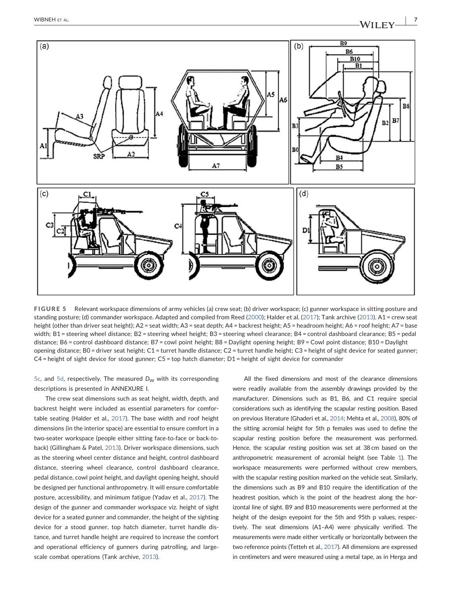

FIGURE 5 Relevant workspace dimensions of army vehicles (a) crew seat; (b) driver workspace; (c) gunner workspace in sitting posture and standing posture; (d) commander workspace. Adapted and compiled from Reed (2000); Halder et al. (2017); Tank archive (2013). A1 = crew seat height (other than driver seat height); A2 = seat width; A3 = seat depth; A4 = backrest height; A5 = headroom height; A6 = roof height; A7 = base width; B1 = steering wheel distance; B2 = steering wheel height; B3 = steering wheel clearance; B4 = control dashboard clearance; B5 = pedal distance; B6 = control dashboard distance; B7 = cowl point height; B8 = Daylight opening height; B9 = Cowl point distance; B10 = Daylight opening distance; B0 = driver seat height; C1 = turret handle distance; C2 = turret handle height; C3 = height of sight device for seated gunner; C4 = height of sight device for stood gunner; C5 = top hatch diameter; D1 = height of sight device for commander

 $5c$ , and  $5d$ , respectively. The measured  $D_W$  with its corresponding descriptions is presented in ANNEXURE I.

The crew seat dimensions such as seat height, width, depth, and backrest height were included as essential parameters for comfortable seating (Halder et al., 2017). The base width and roof height dimensions (in the interior space) are essential to ensure comfort in a two‐seater workspace (people either sitting face‐to‐face or back‐to‐ back) (Gillingham & Patel, 2013). Driver workspace dimensions, such as the steering wheel center distance and height, control dashboard distance, steering wheel clearance, control dashboard clearance, pedal distance, cowl point height, and daylight opening height, should be designed per functional anthropometry. It will ensure comfortable posture, accessibility, and minimum fatigue (Yadav et al., 2017). The design of the gunner and commander workspace viz. height of sight device for a seated gunner and commander, the height of the sighting device for a stood gunner, top hatch diameter, turret handle distance, and turret handle height are required to increase the comfort and operational efficiency of gunners during patrolling, and large‐ scale combat operations (Tank archive, 2013).

All the fixed dimensions and most of the clearance dimensions were readily available from the assembly drawings provided by the manufacturer. Dimensions such as B1, B6, and C1 require special considerations such as identifying the scapular resting position. Based on previous literature (Ghaderi et al., 2014; Mehta et al., 2008), 80% of the sitting acromial height for 5th p females was used to define the scapular resting position before the measurement was performed. Hence, the scapular resting position was set at 38 cm based on the anthropometric measurement of acromial height (see Table 1). The workspace measurements were performed without crew members, with the scapular resting position marked on the vehicle seat. Similarly, the dimensions such as B9 and B10 require the identification of the headrest position, which is the point of the headrest along the horizontal line of sight. B9 and B10 measurements were performed at the height of the design eyepoint for the 5th and 95th p values, respectively. The seat dimensions (A1–A4) were physically verified. The measurements were made either vertically or horizontally between the two reference points (Tetteh et al., 2017). All dimensions are expressed in centimeters and were measured using a metal tape, as in Herga and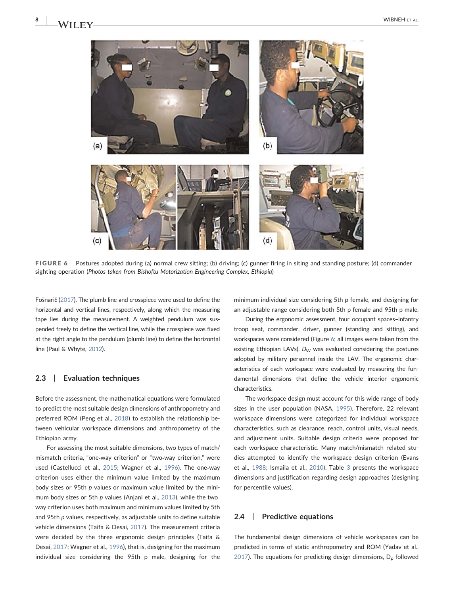

FIGURE 6 Postures adopted during (a) normal crew sitting; (b) driving; (c) gunner firing in siting and standing posture; (d) commander sighting operation (*Photos taken from Bishoftu Motorization Engineering Complex, Ethiopia*)

Fošnarič (2017). The plumb line and crosspiece were used to define the horizontal and vertical lines, respectively, along which the measuring tape lies during the measurement. A weighted pendulum was suspended freely to define the vertical line, while the crosspiece was fixed at the right angle to the pendulum (plumb line) to define the horizontal line (Paul & Whyte, 2012).

#### 2.3 | Evaluation techniques

Before the assessment, the mathematical equations were formulated to predict the most suitable design dimensions of anthropometry and preferred ROM (Peng et al., 2018) to establish the relationship between vehicular workspace dimensions and anthropometry of the Ethiopian army.

For assessing the most suitable dimensions, two types of match/ mismatch criteria, "one‐way criterion" or "two‐way criterion," were used (Castellucci et al., 2015; Wagner et al., 1996). The one-way criterion uses either the minimum value limited by the maximum body sizes or 95th *p* values or maximum value limited by the minimum body sizes or 5th *p* values (Anjani et al., 2013), while the twoway criterion uses both maximum and minimum values limited by 5th and 95th *p* values, respectively, as adjustable units to define suitable vehicle dimensions (Taifa & Desai, 2017). The measurement criteria were decided by the three ergonomic design principles (Taifa & Desai, 2017; Wagner et al., 1996), that is, designing for the maximum individual size considering the 95th p male, designing for the minimum individual size considering 5th p female, and designing for an adjustable range considering both 5th p female and 95th p male.

During the ergonomic assessment, four occupant spaces–infantry troop seat, commander, driver, gunner (standing and sitting), and workspaces were considered (Figure 6; all images were taken from the existing Ethiopian LAVs). *D<sub>W</sub>* was evaluated considering the postures adopted by military personnel inside the LAV. The ergonomic characteristics of each workspace were evaluated by measuring the fundamental dimensions that define the vehicle interior ergonomic characteristics.

The workspace design must account for this wide range of body sizes in the user population (NASA, 1995). Therefore, 22 relevant workspace dimensions were categorized for individual workspace characteristics, such as clearance, reach, control units, visual needs, and adjustment units. Suitable design criteria were proposed for each workspace characteristic. Many match/mismatch related studies attempted to identify the workspace design criterion (Evans et al., 1988; Ismaila et al., 2010). Table 3 presents the workspace dimensions and justification regarding design approaches (designing for percentile values).

#### 2.4 | Predictive equations

The fundamental design dimensions of vehicle workspaces can be predicted in terms of static anthropometry and ROM (Yadav et al., 2017). The equations for predicting design dimensions,  $D<sub>p</sub>$  followed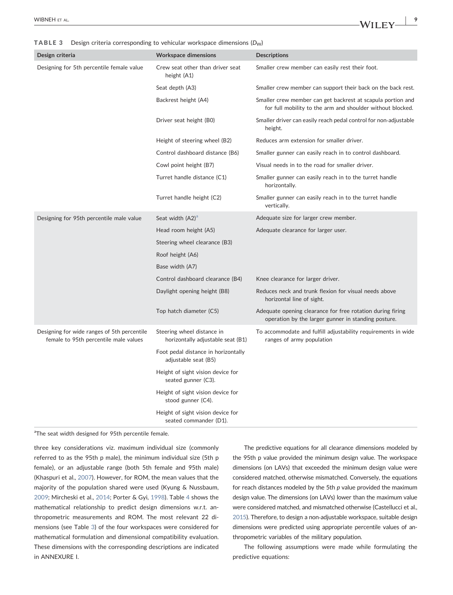TABLE 3 Design criteria corresponding to vehicular workspace dimensions (D<sub>W</sub>)

| Design criteria                                                                      | <b>Workspace dimensions</b>                                     | <b>Descriptions</b>                                                                                                       |
|--------------------------------------------------------------------------------------|-----------------------------------------------------------------|---------------------------------------------------------------------------------------------------------------------------|
| Designing for 5th percentile female value                                            | Crew seat other than driver seat<br>height (A1)                 | Smaller crew member can easily rest their foot.                                                                           |
|                                                                                      | Seat depth (A3)                                                 | Smaller crew member can support their back on the back rest.                                                              |
|                                                                                      | Backrest height (A4)                                            | Smaller crew member can get backrest at scapula portion and<br>for full mobility to the arm and shoulder without blocked. |
|                                                                                      | Driver seat height (B0)                                         | Smaller driver can easily reach pedal control for non-adjustable<br>height.                                               |
|                                                                                      | Height of steering wheel (B2)                                   | Reduces arm extension for smaller driver.                                                                                 |
|                                                                                      | Control dashboard distance (B6)                                 | Smaller gunner can easily reach in to control dashboard.                                                                  |
|                                                                                      | Cowl point height (B7)                                          | Visual needs in to the road for smaller driver.                                                                           |
|                                                                                      | Turret handle distance (C1)                                     | Smaller gunner can easily reach in to the turret handle<br>horizontally.                                                  |
|                                                                                      | Turret handle height (C2)                                       | Smaller gunner can easily reach in to the turret handle<br>vertically.                                                    |
| Designing for 95th percentile male value                                             | Seat width (A2) <sup>a</sup>                                    | Adequate size for larger crew member.                                                                                     |
|                                                                                      | Head room height (A5)                                           | Adequate clearance for larger user.                                                                                       |
|                                                                                      | Steering wheel clearance (B3)                                   |                                                                                                                           |
|                                                                                      | Roof height (A6)                                                |                                                                                                                           |
|                                                                                      | Base width (A7)                                                 |                                                                                                                           |
|                                                                                      | Control dashboard clearance (B4)                                | Knee clearance for larger driver.                                                                                         |
|                                                                                      | Daylight opening height (B8)                                    | Reduces neck and trunk flexion for visual needs above<br>horizontal line of sight.                                        |
|                                                                                      | Top hatch diameter (C5)                                         | Adequate opening clearance for free rotation during firing<br>operation by the larger gunner in standing posture.         |
| Designing for wide ranges of 5th percentile<br>female to 95th percentile male values | Steering wheel distance in<br>horizontally adjustable seat (B1) | To accommodate and fulfill adjustability requirements in wide<br>ranges of army population                                |
|                                                                                      | Foot pedal distance in horizontally<br>adjustable seat (B5)     |                                                                                                                           |
|                                                                                      | Height of sight vision device for<br>seated gunner (C3).        |                                                                                                                           |
|                                                                                      | Height of sight vision device for<br>stood gunner (C4).         |                                                                                                                           |
|                                                                                      | Height of sight vision device for<br>seated commander (D1).     |                                                                                                                           |

<sup>a</sup>The seat width designed for 95th percentile female.

three key considerations viz. maximum individual size (commonly referred to as the 95th p male), the minimum individual size (5th p female), or an adjustable range (both 5th female and 95th male) (Khaspuri et al., 2007). However, for ROM, the mean values that the majority of the population shared were used (Kyung & Nussbaum, 2009; Mircheski et al., 2014; Porter & Gyi, 1998). Table 4 shows the mathematical relationship to predict design dimensions w.r.t. anthropometric measurements and ROM. The most relevant 22 dimensions (see Table 3) of the four workspaces were considered for mathematical formulation and dimensional compatibility evaluation. These dimensions with the corresponding descriptions are indicated in ANNEXURE I.

The predictive equations for all clearance dimensions modeled by the 95th p value provided the minimum design value. The workspace dimensions (on LAVs) that exceeded the minimum design value were considered matched, otherwise mismatched. Conversely, the equations for reach distances modeled by the 5th *p* value provided the maximum design value. The dimensions (on LAVs) lower than the maximum value were considered matched, and mismatched otherwise (Castellucci et al., 2015). Therefore, to design a non‐adjustable workspace, suitable design dimensions were predicted using appropriate percentile values of anthropometric variables of the military population.

The following assumptions were made while formulating the predictive equations: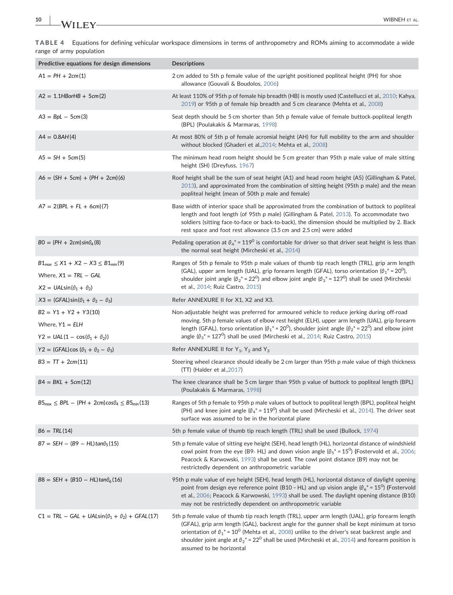|                          | TABLE 4 Equations for defining vehicular workspace dimensions in terms of anthropometry and ROMs aiming to accommodate a wide |
|--------------------------|-------------------------------------------------------------------------------------------------------------------------------|
| range of army population |                                                                                                                               |
|                          |                                                                                                                               |

| Predictive equations for design dimensions                                                                     | <b>Descriptions</b>                                                                                                                                                                                                                                                                                                                                                                                                                                                      |
|----------------------------------------------------------------------------------------------------------------|--------------------------------------------------------------------------------------------------------------------------------------------------------------------------------------------------------------------------------------------------------------------------------------------------------------------------------------------------------------------------------------------------------------------------------------------------------------------------|
| $A1 = PH + 2cm(1)$                                                                                             | 2 cm added to 5th p female value of the upright positioned popliteal height (PH) for shoe<br>allowance (Gouvali & Boudolos, 2006)                                                                                                                                                                                                                                                                                                                                        |
| $A2 = 1.1H$ BorHB + 5cm(2)                                                                                     | At least 110% of 95th p of female hip breadth (HB) is mostly used (Castellucci et al., 2010; Kahya,<br>2019) or 95th p of female hip breadth and 5 cm clearance (Mehta et al., 2008)                                                                                                                                                                                                                                                                                     |
| $A3 = BpL - 5cm(3)$                                                                                            | Seat depth should be 5 cm shorter than 5th p female value of female buttock-popliteal length<br>(BPL) (Poulakakis & Marmaras, 1998)                                                                                                                                                                                                                                                                                                                                      |
| $A4 = 0.8AH(4)$                                                                                                | At most 80% of 5th p of female acromial height (AH) for full mobility to the arm and shoulder<br>without blocked (Ghaderi et al., 2014; Mehta et al., 2008)                                                                                                                                                                                                                                                                                                              |
| $A5 = SH + 5cm(5)$                                                                                             | The minimum head room height should be 5 cm greater than 95th p male value of male sitting<br>height (SH) (Dreyfuss, 1967)                                                                                                                                                                                                                                                                                                                                               |
| $A6 = (SH + 5cm) + (PH + 2cm)(6)$                                                                              | Roof height shall be the sum of seat height (A1) and head room height (A5) (Gillingham & Patel,<br>2013), and approximated from the combination of sitting height (95th p male) and the mean<br>popliteal height (mean of 50th p male and female)                                                                                                                                                                                                                        |
| $A7 = 2(BPL + FL + 6cm)(7)$                                                                                    | Base width of interior space shall be approximated from the combination of buttock to popliteal<br>length and foot length (of 95th p male) (Gillingham & Patel, 2013). To accommodate two<br>soldiers (sitting face-to-face or back-to-back), the dimension should be multiplied by 2. Back<br>rest space and foot rest allowance (3.5 cm and 2.5 cm) were added                                                                                                         |
| $BO = (PH + 2cm)sin\theta_4(8)$                                                                                | Pedaling operation at $\theta_4^*$ = 119 <sup>0</sup> is comfortable for driver so that driver seat height is less than<br>the normal seat height (Mircheski et al., 2014)                                                                                                                                                                                                                                                                                               |
| $B1_{max} \leq X1 + X2 - X3 \leq B1_{min}(9)$<br>Where, $X1 = TRL - GAL$<br>$X2 = UALsin(\theta_1 + \theta_2)$ | Ranges of 5th p female to 95th p male values of thumb tip reach length (TRL), grip arm length<br>(GAL), upper arm length (UAL), grip forearm length (GFAL), torso orientation ( $\theta_1^*$ = 20 <sup>0</sup> ),<br>shoulder joint angle ( $\theta_2^*$ = 22 <sup>0</sup> ) and elbow joint angle ( $\theta_3^*$ = 127 <sup>0</sup> ) shall be used (Mircheski<br>et al., 2014; Ruiz Castro, 2015)                                                                      |
| $X3 = (GFAL)\sin(\theta_1 + \theta_2 - \theta_3)$                                                              | Refer ANNEXURE II for X1, X2 and X3.                                                                                                                                                                                                                                                                                                                                                                                                                                     |
| $B2 = Y1 + Y2 + Y3(10)$<br>Where, $Y1 = E LH$<br>Y2 = UAL $(1 - \cos(\theta_1 + \theta_2))$                    | Non-adjustable height was preferred for armoured vehicle to reduce jerking during off-road<br>moving. 5th p female values of elbow rest height (ELH), upper arm length (UAL), grip forearm<br>length (GFAL), torso orientation ( $\theta_1^*$ = 20 <sup>0</sup> ), shoulder joint angle ( $\theta_2^*$ = 22 <sup>0</sup> ) and elbow joint<br>angle ( $\theta_3^*$ = 127 <sup>0</sup> ) shall be used (Mircheski et al., 2014; Ruiz Castro, 2015)                        |
| Y2 = (GFAL)cos ( $\theta_1 + \theta_2 - \theta_3$ )                                                            | Refer ANNEXURE II for $Y_1$ , $Y_2$ and $Y_3$                                                                                                                                                                                                                                                                                                                                                                                                                            |
| $B3 = TT + 2cm(11)$                                                                                            | Steering wheel clearance should ideally be 2 cm larger than 95th p male value of thigh thickness<br>$(TT)$ (Halder et al., 2017)                                                                                                                                                                                                                                                                                                                                         |
| $B4 = BKL + 5cm(12)$                                                                                           | The knee clearance shall be 5 cm larger than 95th p value of buttock to popliteal length (BPL)<br>(Poulakakis & Marmaras, 1998)                                                                                                                                                                                                                                                                                                                                          |
| $B5_{max} \le BPL - (PH + 2cm)\cos\theta_4 \le B5_{min}(13)$                                                   | Ranges of 5th p female to 95th p male values of buttock to popliteal length (BPL), popliteal height<br>(PH) and knee joint angle ( $\theta_4^*$ = 119 <sup>0</sup> ) shall be used (Mircheski et al., 2014). The driver seat<br>surface was assumed to be in the horizontal plane                                                                                                                                                                                        |
| $B6 = TRL(14)$                                                                                                 | 5th p female value of thumb tip reach length (TRL) shall be used (Bullock, 1974)                                                                                                                                                                                                                                                                                                                                                                                         |
| $B7 = SEH - (B9 - HL)tan\theta_5(15)$                                                                          | 5th p female value of sitting eye height (SEH), head length (HL), horizontal distance of windshield<br>cowl point from the eye (B9- HL) and down vision angle ( $\theta_5^*$ = 15 <sup>0</sup> ) (Fostervold et al., 2006;<br>Peacock & Karwowski, 1993) shall be used. The cowl point distance (B9) may not be<br>restrictedly dependent on anthropometric variable                                                                                                     |
| $B8 = SEH + (B10 - HL)tan\theta_6(16)$                                                                         | 95th p male value of eye height (SEH), head length (HL), horizontal distance of daylight opening<br>point from design eye reference point (B10 - HL) and up vision angle ( $\theta_6$ * = 15 <sup>0</sup> ) (Fostervold<br>et al., 2006; Peacock & Karwowski, 1993) shall be used. The daylight opening distance (B10)<br>may not be restrictedly dependent on anthropometric variable                                                                                   |
| $C1 = TRL - GAL + UALsin(\theta_1 + \theta_2) + GFAL(17)$                                                      | 5th p female value of thumb tip reach length (TRL), upper arm length (UAL), grip forearm length<br>(GFAL), grip arm length (GAL), backrest angle for the gunner shall be kept minimum at torso<br>orientation of $\theta_1^*$ = 10 <sup>0</sup> (Mehta et al., 2008) unlike to the driver's seat backrest angle and<br>shoulder joint angle at $\theta_2^*$ = 22 <sup>0</sup> shall be used (Mircheski et al., 2014) and forearm position is<br>assumed to be horizontal |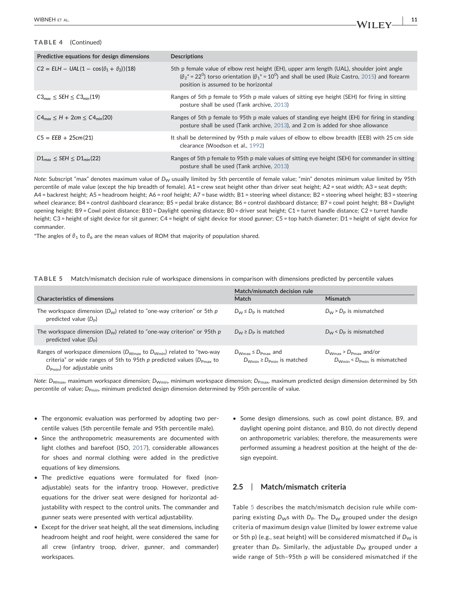## TABLE 4 (Continued)

| Predictive equations for design dimensions                | <b>Descriptions</b>                                                                                                                                                                                                                                     |
|-----------------------------------------------------------|---------------------------------------------------------------------------------------------------------------------------------------------------------------------------------------------------------------------------------------------------------|
| $C2 = E L H - U A L (1 - \cos(\theta_1 + \theta_2))$ (18) | 5th p female value of elbow rest height (EH), upper arm length (UAL), shoulder joint angle<br>$(\theta_2^* = 22^0)$ torso orientation ( $\theta_1^* = 10^0$ ) and shall be used (Ruiz Castro, 2015) and forearm<br>position is assumed to be horizontal |
| $C3_{max}$ < SEH < $C3_{min}(19)$                         | Ranges of 5th p female to 95th p male values of sitting eye height (SEH) for firing in sitting<br>posture shall be used (Tank archive, 2013)                                                                                                            |
| $C4_{\text{max}} < H + 2 \text{cm} < C4_{\text{min}}(20)$ | Ranges of 5th p female to 95th p male values of standing eye height (EH) for firing in standing<br>posture shall be used (Tank archive, 2013), and 2 cm is added for shoe allowance                                                                     |
| $CS = EEB + 25cm(21)$                                     | It shall be determined by 95th p male values of elbow to elbow breadth (EEB) with 25 cm side<br>clearance (Woodson et al., 1992)                                                                                                                        |
| $D1_{\text{max}} \leq$ SEH $\leq D1_{\text{min}}(22)$     | Ranges of 5th p female to 95th p male values of sitting eye height (SEH) for commander in sitting<br>posture shall be used (Tank archive, 2013)                                                                                                         |

*Note*: Subscript "max" denotes maximum value of *D<sub>W</sub>* usually limited by 5th percentile of female value; "min" denotes minimum value limited by 95th percentile of male value (except the hip breadth of female). A1 = crew seat height other than driver seat height; A2 = seat width; A3 = seat depth; A4 = backrest height; A5 = headroom height; A6 = roof height; A7 = base width; B1 = steering wheel distance; B2 = steering wheel height; B3 = steering wheel clearance; B4 = control dashboard clearance; B5 = pedal brake distance; B6 = control dashboard distance; B7 = cowl point height; B8 = Daylight opening height; B9 = Cowl point distance; B10 = Daylight opening distance; B0 = driver seat height; C1 = turret handle distance; C2 = turret handle height; C3 = height of sight device for sit gunner; C4 = height of sight device for stood gunner; C5 = top hatch diameter; D1 = height of sight device for commander.

\*The angles of  $\theta_1$  to  $\theta_6$  are the mean values of ROM that majority of population shared.

|--|

|                                                                                                                                                                                                           | Match/mismatch decision rule                                       |                                                                                       |  |  |  |
|-----------------------------------------------------------------------------------------------------------------------------------------------------------------------------------------------------------|--------------------------------------------------------------------|---------------------------------------------------------------------------------------|--|--|--|
| <b>Characteristics of dimensions</b>                                                                                                                                                                      | Match                                                              | Mismatch                                                                              |  |  |  |
| The workspace dimension $(D_w)$ related to "one-way criterion" or 5th p<br>predicted value $(D_P)$                                                                                                        | $D_W \leq D_P$ is matched                                          | $D_W$ > $D_P$ is mismatched                                                           |  |  |  |
| The workspace dimension $(D_{W})$ related to "one-way criterion" or 95th p<br>predicted value $(D_{\rm p})$                                                                                               | $D_{W} \ge D_{P}$ is matched                                       | $D_W < D_P$ is mismatched                                                             |  |  |  |
| Ranges of workspace dimensions ( $D_{Wmax}$ to $D_{Wmin}$ ) related to "two-way<br>criteria" or wide ranges of 5th to 95th p predicted values ( $D_{Pmax}$ to<br>$D_{\text{Pmin}}$ ) for adjustable units | $D_{Wmax} \leq D_{Pmax}$ and<br>$D_{Wmin} \ge D_{Pmin}$ is matched | $D_{\text{Wmax}}$ > $D_{\text{Pmax}}$ and/or<br>$D_{Wmin}$ < $D_{Pmin}$ is mismatched |  |  |  |

*Note*: *D<sub>Wmax</sub>*, maximum workspace dimension; *D<sub>Wmin</sub>*, minimum workspace dimension; *D*<sub>Pmax</sub>, maximum predicted design dimension determined by 5th percentile of value; *D<sub>Pmin</sub>*, minimum predicted design dimension determined by 95th percentile of value.

- The ergonomic evaluation was performed by adopting two percentile values (5th percentile female and 95th percentile male).
- Since the anthropometric measurements are documented with light clothes and barefoot (ISO, 2017), considerable allowances for shoes and normal clothing were added in the predictive equations of key dimensions.
- The predictive equations were formulated for fixed (nonadjustable) seats for the infantry troop. However, predictive equations for the driver seat were designed for horizontal adjustability with respect to the control units. The commander and gunner seats were presented with vertical adjustability.
- Except for the driver seat height, all the seat dimensions, including headroom height and roof height, were considered the same for all crew (infantry troop, driver, gunner, and commander) workspaces.

• Some design dimensions, such as cowl point distance, B9, and daylight opening point distance, and B10, do not directly depend on anthropometric variables; therefore, the measurements were performed assuming a headrest position at the height of the design eyepoint.

#### 2.5 | Match/mismatch criteria

Table 5 describes the match/mismatch decision rule while comparing existing  $D_{\text{W}}$ s with  $D_{\text{P}}$ . The  $D_{\text{W}}$  grouped under the design criteria of maximum design value (limited by lower extreme value or 5th p) (e.g., seat height) will be considered mismatched if  $D_W$  is greater than *D*<sub>P</sub>. Similarly, the adjustable *D<sub>W</sub>* grouped under a wide range of 5th–95th p will be considered mismatched if the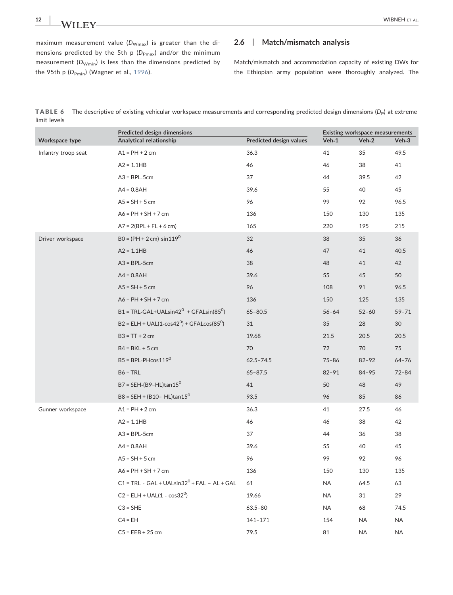maximum measurement value  $(D_{Wmax})$  is greater than the dimensions predicted by the 5th p (D<sub>Pmax</sub>) and/or the minimum measurement ( $D_{Wmin}$ ) is less than the dimensions predicted by the 95th p (D<sub>Pmin</sub>) (Wagner et al., 1996).

## 2.6 | Match/mismatch analysis

Match/mismatch and accommodation capacity of existing DWs for the Ethiopian army population were thoroughly analyzed. The

TABLE 6 The descriptive of existing vehicular workspace measurements and corresponding predicted design dimensions (D<sub>P</sub>) at extreme limit levels

|                     | Predicted design dimensions                                       |                         | Existing workspace measurements |           |           |  |
|---------------------|-------------------------------------------------------------------|-------------------------|---------------------------------|-----------|-----------|--|
| Workspace type      | Analytical relationship                                           | Predicted design values | Veh-1                           | Veh-2     | Veh-3     |  |
| Infantry troop seat | $A1 = PH + 2$ cm                                                  | 36.3                    | 41                              | 35        | 49.5      |  |
|                     | $A2 = 1.1HB$                                                      | 46                      | 46                              | 38        | 41        |  |
|                     | $A3 = BPL-5cm$                                                    | 37                      | 44                              | 39.5      | 42        |  |
|                     | $AA = 0.8AH$                                                      | 39.6                    | 55                              | 40        | 45        |  |
|                     | $AS = SH + 5$ cm                                                  | 96                      | 99                              | 92        | 96.5      |  |
|                     | $A6 = PH + SH + 7$ cm                                             | 136                     | 150                             | 130       | 135       |  |
|                     | $A7 = 2(BPL + FL + 6 cm)$                                         | 165                     | 220                             | 195       | 215       |  |
| Driver workspace    | $BO = (PH + 2 cm) \sin 119^{\circ}$                               | 32                      | 38                              | 35        | 36        |  |
|                     | $A2 = 1.1HB$                                                      | 46                      | 47                              | 41        | 40.5      |  |
|                     | $A3 = BPL-5cm$                                                    | 38                      | 48                              | 41        | 42        |  |
|                     | $AA = 0.8AH$                                                      | 39.6                    | 55                              | 45        | 50        |  |
|                     | $AS = SH + 5$ cm                                                  | 96                      | 108                             | 91        | 96.5      |  |
|                     | $A6 = PH + SH + 7$ cm                                             | 136                     | 150                             | 125       | 135       |  |
|                     | $B1 = TRL-GAL+UALsin42^0 + GFALsin(85^0)$                         | $65 - 80.5$             | $56 - 64$                       | $52 - 60$ | $59 - 71$ |  |
|                     | B2 = ELH + UAL(1-cos42 <sup>0</sup> ) + GFALcos(85 <sup>0</sup> ) | 31                      | 35                              | 28        | 30        |  |
|                     | $B3 = TT + 2 cm$                                                  | 19.68                   | 21.5                            | 20.5      | 20.5      |  |
|                     | $B4 = BKL + 5$ cm                                                 | 70                      | 72                              | 70        | 75        |  |
|                     | $B5 = BPL-PHcos119^0$                                             | $62.5 - 74.5$           | $75 - 86$                       | $82 - 92$ | $64 - 76$ |  |
|                     | $B6 = TRL$                                                        | $65 - 87.5$             | $82 - 91$                       | $84 - 95$ | $72 - 84$ |  |
|                     | B7 = SEH-(B9-HL)tan15 <sup>0</sup>                                | 41                      | 50                              | 48        | 49        |  |
|                     | B8 = SEH + (B10- HL)tan15 <sup>0</sup>                            | 93.5                    | 96                              | 85        | 86        |  |
| Gunner workspace    | $A1 = PH + 2$ cm                                                  | 36.3                    | 41                              | 27.5      | 46        |  |
|                     | $A2 = 1.1HB$                                                      | 46                      | 46                              | 38        | 42        |  |
|                     | $A3 = BPL-5cm$                                                    | 37                      | 44                              | 36        | 38        |  |
|                     | $A4 = 0.8AH$                                                      | 39.6                    | 55                              | 40        | 45        |  |
|                     | $AS = SH + 5$ cm                                                  | 96                      | 99                              | 92        | 96        |  |
|                     | $A6 = PH + SH + 7$ cm                                             | 136                     | 150                             | 130       | 135       |  |
|                     | $C1 = TRL - GAL + UALsin32^0 + FAL - AL + GAL$                    | 61                      | NA                              | 64.5      | 63        |  |
|                     | $C2 = ELH + UAL(1 - cos32o)$                                      | 19.66                   | <b>NA</b>                       | 31        | 29        |  |
|                     | $C3 = SHE$                                                        | $63.5 - 80$             | <b>NA</b>                       | 68        | 74.5      |  |
|                     | $C4 = EH$                                                         | 141-171                 | 154                             | <b>NA</b> | <b>NA</b> |  |
|                     | $C5 = EEB + 25$ cm                                                | 79.5                    | 81                              | <b>NA</b> | NA        |  |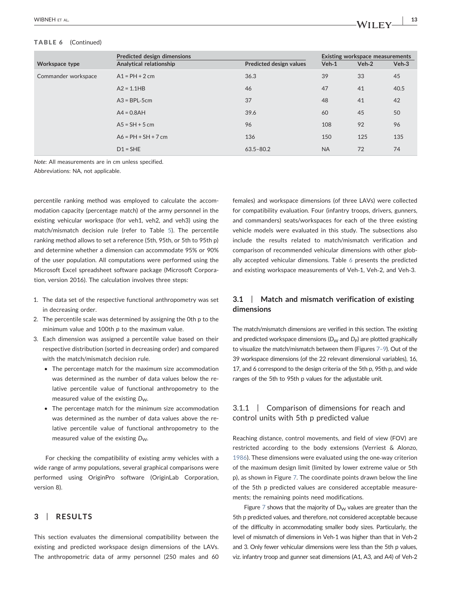## TABLE 6 (Continued)

|                     | Predicted design dimensions | <b>Existing workspace measurements</b> |           |         |         |
|---------------------|-----------------------------|----------------------------------------|-----------|---------|---------|
| Workspace type      | Analytical relationship     | <b>Predicted design values</b>         | $Veh-1$   | $Veh-2$ | $Veh-3$ |
| Commander workspace | $A1 = PH + 2$ cm            | 36.3                                   | 39        | 33      | 45      |
|                     | $A2 = 1.1HB$                | 46                                     | 47        | 41      | 40.5    |
|                     | $A3 = BPL-5cm$              | 37                                     | 48        | 41      | 42      |
|                     | $AA = 0.8AH$                | 39.6                                   | 60        | 45      | 50      |
|                     | $AS = SH + 5$ cm            | 96                                     | 108       | 92      | 96      |
|                     | $AG = PH + SH + 7 cm$       | 136                                    | 150       | 125     | 135     |
|                     | $D1 = SHE$                  | $63.5 - 80.2$                          | <b>NA</b> | 72      | 74      |

*Note*: All measurements are in cm unless specified.

Abbreviations: NA, not applicable.

percentile ranking method was employed to calculate the accommodation capacity (percentage match) of the army personnel in the existing vehicular workspace (for veh1, veh2, and veh3) using the match/mismatch decision rule (refer to Table 5). The percentile ranking method allows to set a reference (5th, 95th, or 5th to 95th p) and determine whether a dimension can accommodate 95% or 90% of the user population. All computations were performed using the Microsoft Excel spreadsheet software package (Microsoft Corporation, version 2016). The calculation involves three steps:

- 1. The data set of the respective functional anthropometry was set in decreasing order.
- 2. The percentile scale was determined by assigning the 0th p to the minimum value and 100th p to the maximum value.
- 3. Each dimension was assigned a percentile value based on their respective distribution (sorted in decreasing order) and compared with the match/mismatch decision rule.
	- The percentage match for the maximum size accommodation was determined as the number of data values below the relative percentile value of functional anthropometry to the measured value of the existing *D<sub>W</sub>*.
	- The percentage match for the minimum size accommodation was determined as the number of data values above the relative percentile value of functional anthropometry to the measured value of the existing D<sub>W</sub>.

For checking the compatibility of existing army vehicles with a wide range of army populations, several graphical comparisons were performed using OriginPro software (OriginLab Corporation, version 8).

## 3 | RESULTS

This section evaluates the dimensional compatibility between the existing and predicted workspace design dimensions of the LAVs. The anthropometric data of army personnel (250 males and 60 females) and workspace dimensions (of three LAVs) were collected for compatibility evaluation. Four (infantry troops, drivers, gunners, and commanders) seats/workspaces for each of the three existing vehicle models were evaluated in this study. The subsections also include the results related to match/mismatch verification and comparison of recommended vehicular dimensions with other globally accepted vehicular dimensions. Table 6 presents the predicted and existing workspace measurements of Veh‐1, Veh‐2, and Veh‐3.

## 3.1 | Match and mismatch verification of existing dimensions

The match/mismatch dimensions are verified in this section. The existing and predicted workspace dimensions  $(D<sub>W</sub>$  and  $D<sub>P</sub>$ ) are plotted graphically to visualize the match/mismatch between them (Figures 7–9). Out of the 39 workspace dimensions (of the 22 relevant dimensional variables), 16, 17, and 6 correspond to the design criteria of the 5th p, 95th p, and wide ranges of the 5th to 95th p values for the adjustable unit.

## 3.1.1 | Comparison of dimensions for reach and control units with 5th p predicted value

Reaching distance, control movements, and field of view (FOV) are restricted according to the body extensions (Verriest & Alonzo, 1986). These dimensions were evaluated using the one‐way criterion of the maximum design limit (limited by lower extreme value or 5th p), as shown in Figure 7. The coordinate points drawn below the line of the 5th p predicted values are considered acceptable measurements; the remaining points need modifications.

Figure  $7$  shows that the majority of  $D_W$  values are greater than the 5th p predicted values, and therefore, not considered acceptable because of the difficulty in accommodating smaller body sizes. Particularly, the level of mismatch of dimensions in Veh‐1 was higher than that in Veh‐2 and 3. Only fewer vehicular dimensions were less than the 5th p values, viz. infantry troop and gunner seat dimensions (A1, A3, and A4) of Veh‐2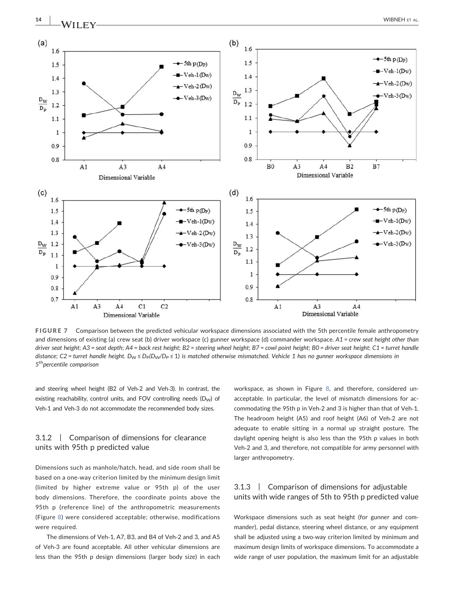

FIGURE 7 Comparison between the predicted vehicular workspace dimensions associated with the 5th percentile female anthropometry and dimensions of existing (a) crew seat (b) driver workspace (c) gunner workspace (d) commander workspace. *A1* = *crew seat height other than* driver seat height; A3 = seat depth; A4 = back rest height; B2 = steering wheel height; B7 = cowl point height; B0 = driver seat height; C1 = turret handle *distance*; *C2* = *turret handle height.*  $D_w \leq D_P(D_w/D_P \leq 1)$  *is matched otherwise mismatched. Vehicle* 1 has no gunner workspace dimensions in *5* th*percentile comparison*

and steering wheel height (B2 of Veh‐2 and Veh‐3). In contrast, the existing reachability, control units, and FOV controlling needs  $(D<sub>w</sub>)$  of Veh-1 and Veh-3 do not accommodate the recommended body sizes.

## 3.1.2 | Comparison of dimensions for clearance units with 95th p predicted value

Dimensions such as manhole/hatch, head, and side room shall be based on a one‐way criterion limited by the minimum design limit (limited by higher extreme value or 95th p) of the user body dimensions. Therefore, the coordinate points above the 95th p (reference line) of the anthropometric measurements (Figure 8) were considered acceptable; otherwise, modifications were required.

The dimensions of Veh‐1, A7, B3, and B4 of Veh‐2 and 3, and A5 of Veh‐3 are found acceptable. All other vehicular dimensions are less than the 95th p design dimensions (larger body size) in each workspace, as shown in Figure 8, and therefore, considered unacceptable. In particular, the level of mismatch dimensions for accommodating the 95th p in Veh‐2 and 3 is higher than that of Veh‐1. The headroom height (A5) and roof height (A6) of Veh‐2 are not adequate to enable sitting in a normal up straight posture. The daylight opening height is also less than the 95th p values in both Veh‐2 and 3, and therefore, not compatible for army personnel with larger anthropometry.

## 3.1.3 | Comparison of dimensions for adjustable units with wide ranges of 5th to 95th p predicted value

Workspace dimensions such as seat height (for gunner and commander), pedal distance, steering wheel distance, or any equipment shall be adjusted using a two‐way criterion limited by minimum and maximum design limits of workspace dimensions. To accommodate a wide range of user population, the maximum limit for an adjustable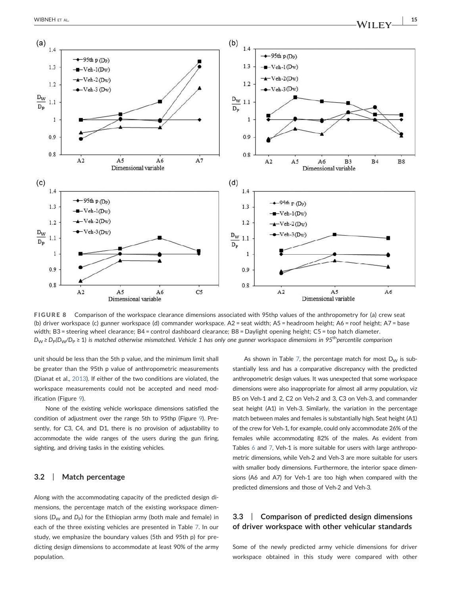

FIGURE 8 Comparison of the workspace clearance dimensions associated with 95thp values of the anthropometry for (a) crew seat (b) driver workspace (c) gunner workspace (d) commander workspace. A2 = seat width; A5 = headroom height; A6 = roof height; A7 = base width; B3 = steering wheel clearance; B4 = control dashboard clearance; B8 = Daylight opening height; C5 = top hatch diameter. *D*<sup>W</sup> ≥ *D*P*(D*W*/D*<sup>P</sup> ≥ 1) *is matched otherwise mismatched. Vehicle 1 has only one gunner* workspace *dimensions in 95*th*percentile comparison*

unit should be less than the 5th p value, and the minimum limit shall be greater than the 95th p value of anthropometric measurements (Dianat et al., 2013). If either of the two conditions are violated, the workspace measurements could not be accepted and need modification (Figure 9).

None of the existing vehicle workspace dimensions satisfied the condition of adjustment over the range 5th to 95thp (Figure 9). Presently, for C3, C4, and D1, there is no provision of adjustability to accommodate the wide ranges of the users during the gun firing, sighting, and driving tasks in the existing vehicles.

## 3.2 | Match percentage

Along with the accommodating capacity of the predicted design dimensions, the percentage match of the existing workspace dimensions (*D<sub>W</sub>* and *D*<sub>P</sub>) for the Ethiopian army (both male and female) in each of the three existing vehicles are presented in Table 7. In our study, we emphasize the boundary values (5th and 95th p) for predicting design dimensions to accommodate at least 90% of the army population.

As shown in Table 7, the percentage match for most  $D_W$  is substantially less and has a comparative discrepancy with the predicted anthropometric design values. It was unexpected that some workspace dimensions were also inappropriate for almost all army population, viz B5 on Veh‐1 and 2, C2 on Veh‐2 and 3, C3 on Veh‐3, and commander seat height (A1) in Veh-3. Similarly, the variation in the percentage match between males and females is substantially high. Seat height (A1) of the crew for Veh‐1, for example, could only accommodate 26% of the females while accommodating 82% of the males. As evident from Tables 6 and 7, Veh-1 is more suitable for users with large anthropometric dimensions, while Veh‐2 and Veh‐3 are more suitable for users with smaller body dimensions. Furthermore, the interior space dimensions (A6 and A7) for Veh‐1 are too high when compared with the predicted dimensions and those of Veh‐2 and Veh‐3.

## 3.3 | Comparison of predicted design dimensions of driver workspace with other vehicular standards

Some of the newly predicted army vehicle dimensions for driver workspace obtained in this study were compared with other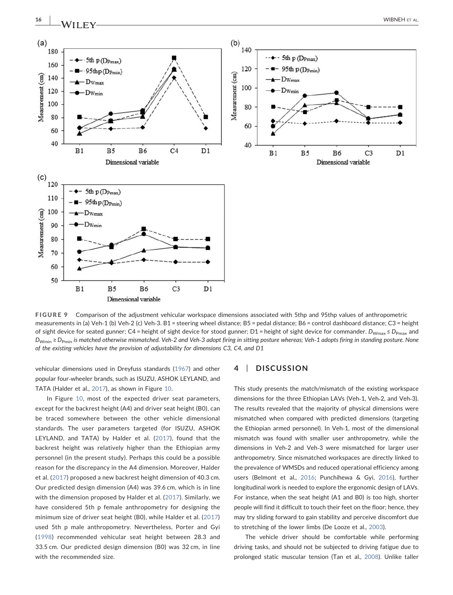

FIGURE 9 Comparison of the adjustment vehicular workspace dimensions associated with 5thp and 95thp values of anthropometric measurements in (a) Veh‐1 (b) Veh‐2 (c) Veh‐3. B1 = steering wheel distance; B5 = pedal distance; B6 = control dashboard distance; C3 = height of sight device for seated gunner; C4 = height of sight device for stood gunner; D1 = height of sight device for commander. *D*<sub>Wmax</sub> ≤ *D*<sub>Pmax</sub> and *D*Wmin ≥ *D*Pmin *is matched otherwise mismatched. Veh*‐*2 and Veh*‐*3 adopt firing in sitting posture whereas; Veh*‐*1 adopts firing in standing posture. None of the existing vehicles have the provision of adjustability for dimensions C3, C4, and D1*

vehicular dimensions used in Dreyfuss standards (1967) and other popular four‐wheeler brands, such as ISUZU, ASHOK LEYLAND, and TATA (Halder et al., 2017), as shown in Figure 10.

In Figure 10, most of the expected driver seat parameters, except for the backrest height (A4) and driver seat height (B0), can be traced somewhere between the other vehicle dimensional standards. The user parameters targeted (for ISUZU, ASHOK LEYLAND, and TATA) by Halder et al. (2017), found that the backrest height was relatively higher than the Ethiopian army personnel (in the present study). Perhaps this could be a possible reason for the discrepancy in the A4 dimension. Moreover, Halder et al. (2017) proposed a new backrest height dimension of 40.3 cm. Our predicted design dimension (A4) was 39.6 cm, which is in line with the dimension proposed by Halder et al. (2017). Similarly, we have considered 5th p female anthropometry for designing the minimum size of driver seat height (B0), while Halder et al. (2017) used 5th p male anthropometry. Nevertheless, Porter and Gyi (1998) recommended vehicular seat height between 28.3 and 33.5 cm. Our predicted design dimension (B0) was 32 cm, in line with the recommended size.

## 4 | DISCUSSION

This study presents the match/mismatch of the existing workspace dimensions for the three Ethiopian LAVs (Veh‐1, Veh‐2, and Veh‐3). The results revealed that the majority of physical dimensions were mismatched when compared with predicted dimensions (targeting the Ethiopian armed personnel). In Veh‐1, most of the dimensional mismatch was found with smaller user anthropometry, while the dimensions in Veh‐2 and Veh‐3 were mismatched for larger user anthropometry. Since mismatched workspaces are directly linked to the prevalence of WMSDs and reduced operational efficiency among users (Belmont et al., 2016; Punchihewa & Gyi, 2016), further longitudinal work is needed to explore the ergonomic design of LAVs. For instance, when the seat height (A1 and B0) is too high, shorter people will find it difficult to touch their feet on the floor; hence, they may try sliding forward to gain stability and perceive discomfort due to stretching of the lower limbs (De Looze et al., 2003).

The vehicle driver should be comfortable while performing driving tasks, and should not be subjected to driving fatigue due to prolonged static muscular tension (Tan et al., 2008). Unlike taller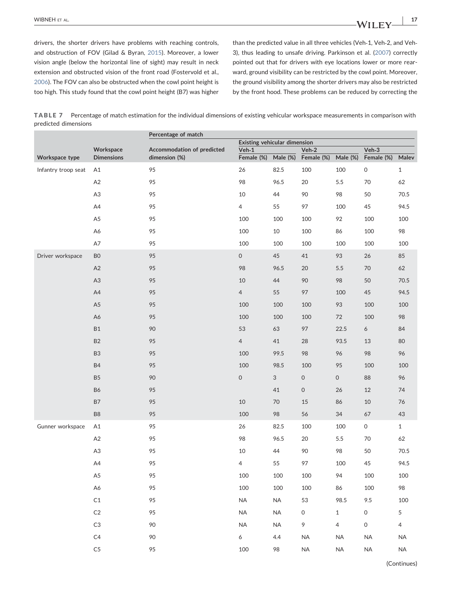drivers, the shorter drivers have problems with reaching controls, and obstruction of FOV (Gilad & Byran, 2015). Moreover, a lower vision angle (below the horizontal line of sight) may result in neck extension and obstructed vision of the front road (Fostervold et al., 2006). The FOV can also be obstructed when the cowl point height is too high. This study found that the cowl point height (B7) was higher than the predicted value in all three vehicles (Veh‐1, Veh‐2, and Veh‐ 3), thus leading to unsafe driving. Parkinson et al. (2007) correctly pointed out that for drivers with eye locations lower or more rearward, ground visibility can be restricted by the cowl point. Moreover, the ground visibility among the shorter drivers may also be restricted by the front hood. These problems can be reduced by correcting the

TABLE 7 Percentage of match estimation for the individual dimensions of existing vehicular workspace measurements in comparison with predicted dimensions

|                     |                                | Percentage of match                         |                              |          |                       |                |                     |                |
|---------------------|--------------------------------|---------------------------------------------|------------------------------|----------|-----------------------|----------------|---------------------|----------------|
|                     |                                |                                             | Existing vehicular dimension |          |                       |                |                     |                |
| Workspace type      | Workspace<br><b>Dimensions</b> | Accommodation of predicted<br>dimension (%) | $Veh-1$<br>Female (%)        | Male (%) | $Veh-2$<br>Female (%) | Male (%)       | Veh-3<br>Female (%) | Malev          |
|                     |                                |                                             |                              |          |                       |                |                     |                |
| Infantry troop seat | A1                             | 95                                          | 26                           | 82.5     | 100                   | 100            | $\mathsf{O}\xspace$ | $\mathbf{1}$   |
|                     | A2                             | 95                                          | 98                           | 96.5     | 20                    | 5.5            | 70                  | 62             |
|                     | A <sub>3</sub>                 | 95                                          | $10\,$                       | 44       | 90                    | 98             | 50                  | 70.5           |
|                     | A4                             | 95                                          | $\overline{4}$               | 55       | 97                    | 100            | 45                  | 94.5           |
|                     | A <sub>5</sub>                 | 95                                          | 100                          | 100      | 100                   | 92             | 100                 | 100            |
|                     | A6                             | 95                                          | 100                          | 10       | 100                   | 86             | 100                 | 98             |
|                     | $\mathsf{A} \mathsf{7}$        | 95                                          | 100                          | 100      | 100                   | 100            | 100                 | 100            |
| Driver workspace    | ${\sf B0}$                     | 95                                          | $\mathsf{O}\xspace$          | 45       | 41                    | 93             | 26                  | 85             |
|                     | A2                             | 95                                          | 98                           | 96.5     | 20                    | 5.5            | 70                  | 62             |
|                     | A <sub>3</sub>                 | 95                                          | $10$                         | 44       | 90                    | 98             | 50                  | 70.5           |
|                     | A4                             | 95                                          | $\overline{4}$               | 55       | 97                    | 100            | 45                  | 94.5           |
|                     | A <sub>5</sub>                 | 95                                          | 100                          | 100      | 100                   | 93             | 100                 | 100            |
|                     | A6                             | 95                                          | 100                          | 100      | 100                   | 72             | 100                 | 98             |
|                     | <b>B1</b>                      | 90                                          | 53                           | 63       | 97                    | 22.5           | 6                   | 84             |
|                     | <b>B2</b>                      | 95                                          | $\overline{4}$               | 41       | 28                    | 93.5           | 13                  | 80             |
|                     | B <sub>3</sub>                 | 95                                          | 100                          | 99.5     | 98                    | 96             | 98                  | 96             |
|                     | <b>B4</b>                      | 95                                          | 100                          | 98.5     | 100                   | 95             | 100                 | 100            |
|                     | <b>B5</b>                      | 90                                          | 0                            | 3        | $\mathsf{O}\xspace$   | $\mathsf O$    | 88                  | 96             |
|                     | <b>B6</b>                      | 95                                          |                              | 41       | 0                     | 26             | 12                  | 74             |
|                     | <b>B7</b>                      | 95                                          | $10\,$                       | 70       | 15                    | 86             | 10                  | 76             |
|                     | B <sub>8</sub>                 | 95                                          | 100                          | 98       | 56                    | 34             | 67                  | 43             |
| Gunner workspace    | A1                             | 95                                          | 26                           | 82.5     | 100                   | 100            | $\mathsf{O}\xspace$ | $\mathbf{1}$   |
|                     | A2                             | 95                                          | 98                           | 96.5     | 20                    | 5.5            | 70                  | 62             |
|                     | A <sub>3</sub>                 | 95                                          | 10                           | 44       | 90                    | 98             | 50                  | 70.5           |
|                     | A4                             | 95                                          | $\overline{4}$               | 55       | 97                    | 100            | 45                  | 94.5           |
|                     | A <sub>5</sub>                 | 95                                          | 100                          | 100      | 100                   | 94             | 100                 | 100            |
|                     | A6                             | 95                                          | 100                          | 100      | 100                   | 86             | 100                 | 98             |
|                     | $\mathsf{C1}$                  | 95                                          | $\sf NA$                     | $\sf NA$ | 53                    | 98.5           | 9.5                 | 100            |
|                     | $\mathsf{C2}$                  | 95                                          | $\sf NA$                     | $\sf NA$ | $\mathsf{O}\xspace$   | $\mathbf{1}$   | $\mathsf O$         | 5              |
|                     | $\mathsf{C}3$                  | 90                                          | $\sf NA$                     | $\sf NA$ | 9                     | $\overline{4}$ | $\mathsf{O}\xspace$ | $\overline{4}$ |
|                     | C <sub>4</sub>                 | 90                                          | 6                            | 4.4      | <b>NA</b>             | $\sf NA$       | <b>NA</b>           | NA             |
|                     | C <sub>5</sub>                 | 95                                          | 100                          | 98       | <b>NA</b>             | $\sf NA$       | NA                  | $\sf NA$       |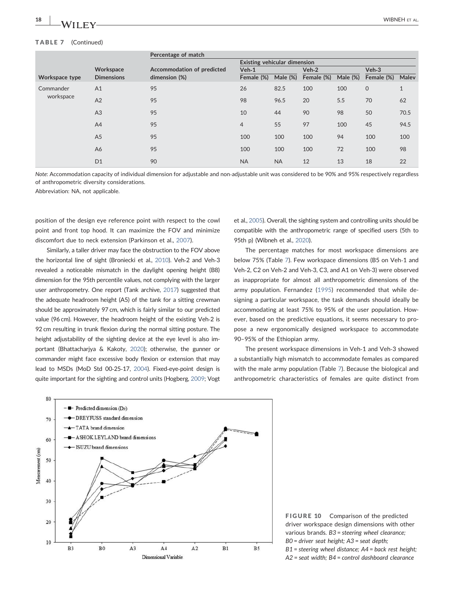#### TABLE 7 (Continued)

|                        | Workspace<br><b>Dimensions</b> | Percentage of match                         |                                     |             |            |             |             |              |
|------------------------|--------------------------------|---------------------------------------------|-------------------------------------|-------------|------------|-------------|-------------|--------------|
| Workspace type         |                                | Accommodation of predicted<br>dimension (%) | <b>Existing vehicular dimension</b> |             |            |             |             |              |
|                        |                                |                                             | $Veh-1$                             |             | Veh-2      |             | Veh-3       |              |
|                        |                                |                                             | Female (%)                          | Male $(\%)$ | Female (%) | Male $(\%)$ | Female (%)  | Malev        |
| Commander<br>workspace | A <sub>1</sub>                 | 95                                          | 26                                  | 82.5        | 100        | 100         | $\mathbf 0$ | $\mathbf{1}$ |
|                        | A2                             | 95                                          | 98                                  | 96.5        | 20         | 5.5         | 70          | 62           |
|                        | A3                             | 95                                          | 10                                  | 44          | 90         | 98          | 50          | 70.5         |
|                        | A <sup>4</sup>                 | 95                                          | $\overline{4}$                      | 55          | 97         | 100         | 45          | 94.5         |
|                        | A <sub>5</sub>                 | 95                                          | 100                                 | 100         | 100        | 94          | 100         | 100          |
|                        | A6                             | 95                                          | 100                                 | 100         | 100        | 72          | 100         | 98           |
|                        | D <sub>1</sub>                 | 90                                          | <b>NA</b>                           | <b>NA</b>   | 12         | 13          | 18          | 22           |

*Note*: Accommodation capacity of individual dimension for adjustable and non‐adjustable unit was considered to be 90% and 95% respectively regardless of anthropometric diversity considerations.

Abbreviation: NA, not applicable.

position of the design eye reference point with respect to the cowl point and front top hood. It can maximize the FOV and minimize discomfort due to neck extension (Parkinson et al., 2007).

Similarly, a taller driver may face the obstruction to the FOV above the horizontal line of sight (Broniecki et al., 2010). Veh‐2 and Veh‐3 revealed a noticeable mismatch in the daylight opening height (B8) dimension for the 95th percentile values, not complying with the larger user anthropometry. One report (Tank archive, 2017) suggested that the adequate headroom height (A5) of the tank for a sitting crewman should be approximately 97 cm, which is fairly similar to our predicted value (96 cm). However, the headroom height of the existing Veh‐2 is 92 cm resulting in trunk flexion during the normal sitting posture. The height adjustability of the sighting device at the eye level is also important (Bhattacharjya & Kakoty, 2020); otherwise, the gunner or commander might face excessive body flexion or extension that may lead to MSDs (MoD Std 00‐25‐17, 2004). Fixed‐eye‐point design is quite important for the sighting and control units (Hogberg, 2009; Vogt

et al., 2005). Overall, the sighting system and controlling units should be compatible with the anthropometric range of specified users (5th to 95th p) (Wibneh et al., 2020).

The percentage matches for most workspace dimensions are below 75% (Table 7). Few workspace dimensions (B5 on Veh‐1 and Veh‐2, C2 on Veh‐2 and Veh‐3, C3, and A1 on Veh‐3) were observed as inappropriate for almost all anthropometric dimensions of the army population. Fernandez (1995) recommended that while designing a particular workspace, the task demands should ideally be accommodating at least 75% to 95% of the user population. However, based on the predictive equations, it seems necessary to propose a new ergonomically designed workspace to accommodate 90–95% of the Ethiopian army.

The present workspace dimensions in Veh‐1 and Veh‐3 showed a substantially high mismatch to accommodate females as compared with the male army population (Table 7). Because the biological and anthropometric characteristics of females are quite distinct from



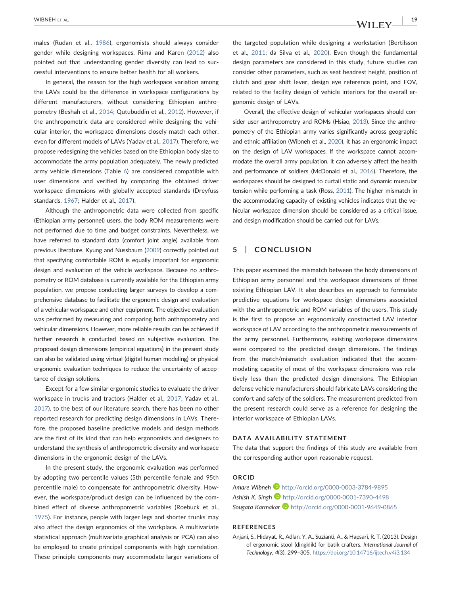males (Rudan et al., 1986), ergonomists should always consider gender while designing workspaces. Rima and Karen (2012) also pointed out that understanding gender diversity can lead to successful interventions to ensure better health for all workers.

In general, the reason for the high workspace variation among the LAVs could be the difference in workspace configurations by different manufacturers, without considering Ethiopian anthropometry (Beshah et al., 2014; Qutubuddin et al., 2012). However, if the anthropometric data are considered while designing the vehicular interior, the workspace dimensions closely match each other, even for different models of LAVs (Yadav et al., 2017). Therefore, we propose redesigning the vehicles based on the Ethiopian body size to accommodate the army population adequately. The newly predicted army vehicle dimensions (Table 6) are considered compatible with user dimensions and verified by comparing the obtained driver workspace dimensions with globally accepted standards (Dreyfuss standards, 1967; Halder et al., 2017).

Although the anthropometric data were collected from specific (Ethiopian army personnel) users, the body ROM measurements were not performed due to time and budget constraints. Nevertheless, we have referred to standard data (comfort joint angle) available from previous literature. Kyung and Nussbaum (2009) correctly pointed out that specifying comfortable ROM is equally important for ergonomic design and evaluation of the vehicle workspace. Because no anthropometry or ROM database is currently available for the Ethiopian army population, we propose conducting larger surveys to develop a comprehensive database to facilitate the ergonomic design and evaluation of a vehicular workspace and other equipment. The objective evaluation was performed by measuring and comparing both anthropometry and vehicular dimensions. However, more reliable results can be achieved if further research is conducted based on subjective evaluation. The proposed design dimensions (empirical equations) in the present study can also be validated using virtual (digital human modeling) or physical ergonomic evaluation techniques to reduce the uncertainty of acceptance of design solutions.

Except for a few similar ergonomic studies to evaluate the driver workspace in trucks and tractors (Halder et al., 2017; Yadav et al., 2017), to the best of our literature search, there has been no other reported research for predicting design dimensions in LAVs. Therefore, the proposed baseline predictive models and design methods are the first of its kind that can help ergonomists and designers to understand the synthesis of anthropometric diversity and workspace dimensions in the ergonomic design of the LAVs.

In the present study, the ergonomic evaluation was performed by adopting two percentile values (5th percentile female and 95th percentile male) to compensate for anthropometric diversity. However, the workspace/product design can be influenced by the combined effect of diverse anthropometric variables (Roebuck et al., 1975). For instance, people with larger legs and shorter trunks may also affect the design ergonomics of the workplace. A multivariate statistical approach (multivariate graphical analysis or PCA) can also be employed to create principal components with high correlation. These principle components may accommodate larger variations of

the targeted population while designing a workstation (Bertilsson et al., 2011; da Silva et al., 2020). Even though the fundamental design parameters are considered in this study, future studies can consider other parameters, such as seat headrest height, position of clutch and gear shift lever, design eye reference point, and FOV, related to the facility design of vehicle interiors for the overall ergonomic design of LAVs.

Overall, the effective design of vehicular workspaces should consider user anthropometry and ROMs (Hsiao, 2013). Since the anthropometry of the Ethiopian army varies significantly across geographic and ethnic affiliation (Wibneh et al., 2020), it has an ergonomic impact on the design of LAV workspaces. If the workspace cannot accommodate the overall army population, it can adversely affect the health and performance of soldiers (McDonald et al., 2016). Therefore, the workspaces should be designed to curtail static and dynamic muscular tension while performing a task (Ross, 2011). The higher mismatch in the accommodating capacity of existing vehicles indicates that the vehicular workspace dimension should be considered as a critical issue, and design modification should be carried out for LAVs.

## 5 | CONCLUSION

This paper examined the mismatch between the body dimensions of Ethiopian army personnel and the workspace dimensions of three existing Ethiopian LAV. It also describes an approach to formulate predictive equations for workspace design dimensions associated with the anthropometric and ROM variables of the users. This study is the first to propose an ergonomically constructed LAV interior workspace of LAV according to the anthropometric measurements of the army personnel. Furthermore, existing workspace dimensions were compared to the predicted design dimensions. The findings from the match/mismatch evaluation indicated that the accommodating capacity of most of the workspace dimensions was relatively less than the predicted design dimensions. The Ethiopian defense vehicle manufacturers should fabricate LAVs considering the comfort and safety of the soldiers. The measurement predicted from the present research could serve as a reference for designing the interior workspace of Ethiopian LAVs.

## DATA AVAILABILITY STATEMENT

The data that support the findings of this study are available from the corresponding author upon reasonable request.

#### ORCID

*Amare Wibneh* http://orcid.org/0000-0003-3784-9895 *Ashish K. Singh* http://orcid.org/0000-0001-7390-4498 **Sougata Karmakar D** http://orcid.org/0000-0001-9649-0865

#### REFERENCES

Anjani, S., Hidayat, R., Adlan, Y. A., Suzianti, A., & Hapsari, R. T. (2013). Design of ergonomic stool (dingklik) for batik crafters. *International Journal of Technology*, *4*(3), 299–305. https://doi.org/10.14716/ijtech.v4i3.134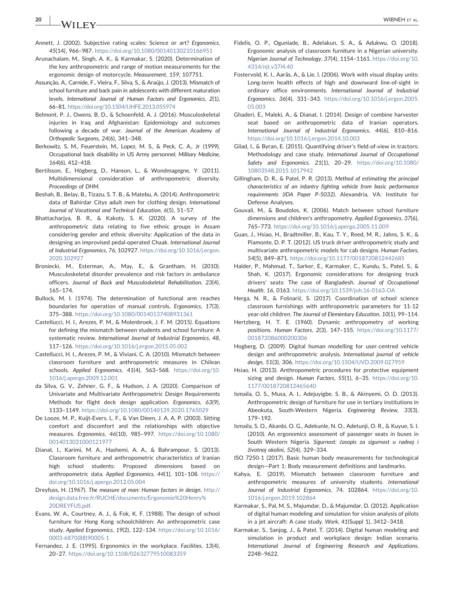$20$  | M/II EV

- Annett, J. (2002). Subjective rating scales: Science or art? *Ergonomics*, *45*(14), 966–987. https://doi.org/10.1080/00140130210166951
- Arunachalam, M., Singh, A. K., & Karmakar, S. (2020). Determination of the key anthropometric and range of motion measurements for the ergonomic design of motorcycle. *Measurement*, *159*, 107751.
- Assunção, A., Carnide, F., Vieira, F., Silva, S., & Araújo, J. (2013). Mismatch of school furniture and back pain in adolescents with different maturation levels. *International Journal of Human Factors and Ergonomics*, *2*(1), 66–81. https://doi.org/10.1504/IJHFE.2013.055974
- Belmont, P. J., Owens, B. D., & Schoenfeld, A. J. (2016). Musculoskeletal injuries in Iraq and Afghanistan: Epidemiology and outcomes following a decade of war. *Journal of the American Academy of Orthopedic Surgeons*, *24*(6), 341–348.
- Berkowitz, S. M., Feuerstein, M., Lopez, M. S., & Peck, C. A., Jr (1999). Occupational back disability in US Army personnel. *Military Medicine*, *164*(6), 412–418.
- Bertilsson, E., Högberg, D., Hanson, L., & Wondmagegne, Y. (2011). Multidimensional consideration of anthropometric diversity. *Proceedings of DHM*.
- Beshah, B., Belay, B., Tizazu, S. T. B., & Matebu, A. (2014). Anthropometric data of Bahirdar Citys adult men for clothing design. *International Journal of Vocational and Technical Education*, *6*(5), 51–57.
- Bhattacharjya, B. R., & Kakoty, S. K. (2020). A survey of the anthropometric data relating to five ethnic groups in Assam considering gender and ethnic diversity: Application of the data in designing an improvised pedal‐operated Chaak. *International Journal of Industrial Ergonomics*, *76*, 102927. https://doi.org/10.1016/j.ergon. 2020.102927
- Broniecki, M., Esterman, A., May, E., & Grantham, H. (2010). Musculoskeletal disorder prevalence and risk factors in ambulance officers. *Journal of Back and Musculoskeletal Rehabilitation*, *23*(4), 165–174.
- Bullock, M. I. (1974). The determination of functional arm reaches boundaries for operation of manual controls. *Ergonomics*, *17*(3), 375–388. https://doi.org/10.1080/00140137408931361
- Castellucci, H. I., Arezes, P. M., & Molenbroek, J. F. M. (2015). Equations for defining the mismatch between students and school furniture: A systematic review. *International Journal of Industrial Ergonomics*, *48*, 117–126. https://doi.org/10.1016/j.ergon.2015.05.002
- Castellucci, H. I., Arezes, P. M., & Viviani, C. A. (2010). Mismatch between classroom furniture and anthropometric measures in Chilean schools. *Applied Ergonomics*, *41*(4), 563–568. https://doi.org/10. 1016/j.apergo.2009.12.001
- da Silva, G. V., Zehner, G. F., & Hudson, J. A. (2020). Comparison of Univariate and Multivariate Anthropometric Design Requirements Methods for flight deck design application. *Ergonomics*, *63*(9), 1133–1149. https://doi.org/10.1080/00140139.2020.1765029
- De Looze, M. P., Kuijt‐Evers, L. F., & Van Dieen, J. A. A. P. (2003). Sitting comfort and discomfort and the relationships with objective measures. *Ergonomics*, *46*(10), 985–997. https://doi.org/10.1080/ 0014013031000121977
- Dianat, I., Karimi, M. A., Hashemi, A. A., & Bahrampour, S. (2013). Classroom furniture and anthropometric characteristics of Iranian high school students: Proposed dimensions based on anthropometric data. *Applied Ergonomics*, *44*(1), 101–108. https:// doi.org/10.1016/j.apergo.2012.05.004
- Dreyfuss, H. (1967). *The measure of man: Human factors in design*. http:// design.data.free.fr/RUCHE/documents/Ergonomie%20Henry% 20DREYFUS.pdf.
- Evans, W. A., Courtney, A. J., & Fok, K. F. (1988). The design of school furniture for Hong Kong schoolchildren: An anthropometric case study. *Applied Ergonomics*, *19*(2), 122–134. https://doi.org/10.1016/ 0003‐6870(88)90005‐1
- Fernandez, J. E. (1995). Ergonomics in the workplace. *Facilities*, *13*(4), 20–27. https://doi.org/10.1108/02632779510083359
- Fidelis, O. P., Ogunlade, B., Adelakun, S. A., & Adukwu, O. (2018). Ergonomic analysis of classroom furniture in a Nigerian university. *Nigerian Journal of Technology*, *37*(4), 1154–1161. https://doi.org/10. 4314/njt.v37i4.40
- Fostervold, K. I., Aarås, A., & Lie, I. (2006). Work with visual display units: Long-term health effects of high and downward line-of-sight in ordinary office environments. *International Journal of Industrial Ergonomics*, *36*(4), 331–343. https://doi.org/10.1016/j.ergon.2005. 05.003
- Ghaderi, E., Maleki, A., & Dianat, I. (2014). Design of combine harvester seat based on anthropometric data of Iranian operators. *International Journal of Industrial Ergonomics*, *44*(6), 810–816. https://doi.org/10.1016/j.ergon.2014.10.003
- Gilad, I., & Byran, E. (2015). Quantifying driver's field‐of‐view in tractors: Methodology and case study. *International Journal of Occupational Safety and Ergonomics*, *21*(1), 20–29. https://doi.org/10.1080/ 10803548.2015.1017942
- Gillingham, D. R., & Patel, P. R. (2013). *Method of estimating the principal characteristics of an infantry fighting vehicle from basic performance requirements (IDA Paper P*‐*5032)*. Alexandria, VA: Institute for Defense Analyses.
- Gouvali, M., & Boudolos, K. (2006). Match between school furniture dimensions and children's anthropometry. *Applied Ergonomics*, *37*(6), 765–773. https://doi.org/10.1016/j.apergo.2005.11.009
- Guan, J., Hsiao, H., Bradtmiller, B., Kau, T. Y., Reed, M. R., Jahns, S. K., & Piamonte, D. P. T. (2012). US truck driver anthropometric study and multivariate anthropometric models for cab designs. *Human Factors*, *54*(5), 849–871. https://doi.org/10.1177/0018720812442685
- Halder, P., Mahmud, T., Sarker, E., Karmaker, C., Kundu, S., Patel, S., & Shah, K. (2017). Ergonomic considerations for designing truck drivers' seats: The case of Bangladesh. *Journal of Occupational Health*, *16*, 0163. https://doi.org/10.1539/joh.16‐0163‐OA
- Herga, N. R., & Fošnarič, S. (2017). Coordination of school science classroom furnishings with anthropometric parameters for 11‐12 year‐old children. *The Journal of Elementary Education*, *10*(1), 99–114.
- Hertzberg, H. T. E. (1960). Dynamic anthropometry of working positions. *Human Factors*, *2*(3), 147–155. https://doi.org/10.1177/ 001872086000200306
- Hogberg, D. (2009). Digital human modelling for user‐centred vehicle design and anthropometric analysis. *International journal of vehicle design*, *51*(3), 306. https://doi.org/10.1504/IJVD.2009.027959
- Hsiao, H. (2013). Anthropometric procedures for protective equipment sizing and design. *Human Factors*, *55*(1), 6–35. https://doi.org/10. 1177/0018720812465640
- Ismaila, O. S., Musa, A. I., Adejuyigbe, S. B., & Akinyemi, O. D. (2013). Anthropometric design of furniture for use in tertiary institutions in Abeokuta, South‐Western Nigeria. *Engineering Review*, *33*(3), 179–192.
- Ismaila, S. O., Akanbi, O. G., Adekunle, N. O., Adetunji, O. R., & Kuyue, S. I. (2010). An ergonomics assessment of passenger seats in buses in South Western Nigeria. *Sigurnost:* č*asopis za sigurnost u radnoj i* ž*ivotnoj okolini*, *52*(4), 329–334.
- ISO 7250‐1 (2017). Basic human body measurements for technological design—Part 1: Body measurement definitions and landmarks.
- Kahya, E. (2019). Mismatch between classroom furniture and anthropometric measures of university students. *International Journal of Industrial Ergonomics*, *74*, 102864. https://doi.org/10. 1016/j.ergon.2019.102864
- Karmakar, S., Pal, M. S., Majumdar, D., & Majumdar, D. (2012). Application of digital human modeling and simulation for vision analysis of pilots in a jet aircraft: A case study. *Work*, *41*(Suppl 1), 3412–3418.
- Karmakar, S., Sanjog, J., & Patel, T. (2014). Digital human modeling and simulation in product and workplace design: Indian scenario. *International Journal of Engineering Research and Applications*, 2248–9622.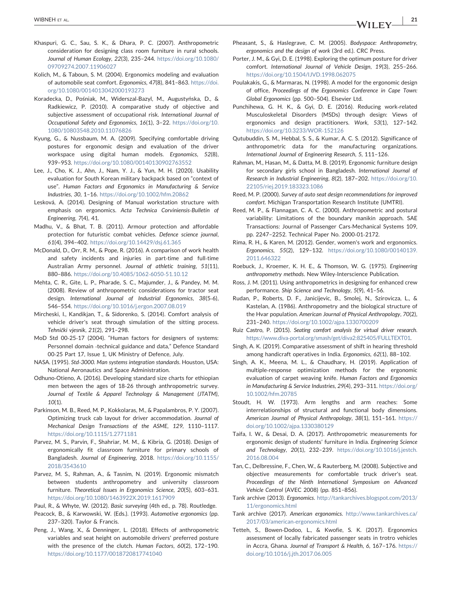- Khaspuri, G. C., Sau, S. K., & Dhara, P. C. (2007). Anthropometric consideration for designing class room furniture in rural schools. *Journal of Human Ecology*, *22*(3), 235–244. https://doi.org/10.1080/ 09709274.2007.11906027
- Kolich, M., & Taboun, S. M. (2004). Ergonomics modeling and evaluation of automobile seat comfort. *Ergonomics*, *47*(8), 841–863. https://doi. org/10.1080/0014013042000193273
- Koradecka, D., Pośniak, M., Widerszal‐Bazyl, M., Augustyńska, D., & Radkiewicz, P. (2010). A comparative study of objective and subjective assessment of occupational risk. *International Journal of Occupational Safety and Ergonomics*, *16*(1), 3–22. https://doi.org/10. 1080/10803548.2010.11076826
- Kyung, G., & Nussbaum, M. A. (2009). Specifying comfortable driving postures for ergonomic design and evaluation of the driver workspace using digital human models. *Ergonomics*, *52*(8), 939–953. https://doi.org/10.1080/00140130902763552
- Lee, J., Cho, K. J., Ahn, J., Nam, Y. J., & Yun, M. H. (2020). Usability evaluation for South Korean military backpack based on "context of use". *Human Factors and Ergonomics in Manufacturing & Service Industries*, *30*, 1–16. https://doi.org/10.1002/hfm.20862
- Lesková, A. (2014). Designing of Manual workstation structure with emphasis on ergonomics. *Acta Technica Corviniensis*‐*Bulletin of Engineering*, *7*(4), 41.
- Madhu, V., & Bhat, T. B. (2011). Armour protection and affordable protection for futuristic combat vehicles. *Defence science journal*, *61*(4), 394–402. https://doi.org/10.14429/dsj.61.365
- McDonald, D., Orr, R. M., & Pope, R. (2016). A comparison of work health and safety incidents and injuries in part-time and full-time Australian Army personnel. *Journal of athletic training*, *51*(11), 880–886. https://doi.org/10.4085/1062‐6050‐51.10.12
- Mehta, C. R., Gite, L. P., Pharade, S. C., Majumder, J., & Pandey, M. M. (2008). Review of anthropometric considerations for tractor seat design. *International Journal of Industrial Ergonomics*, *38*(5‐6), 546–554. https://doi.org/10.1016/j.ergon.2007.08.019
- Mircheski, I., Kandikjan, T., & Sidorenko, S. (2014). Comfort analysis of vehicle driver's seat through simulation of the sitting process. *Tehni*č*ki vjesnik*, *21*(2), 291–298.
- MoD Std 00-25-17 (2004). "Human factors for designers of systems: Personnel domain ‐technical guidance and data," Defence Standard 00‐25 Part 17, Issue 1, UK Ministry of Defence, July.
- NASA. (1995). *Std*‐*3000. Man systems integration standards*. Houston, USA: National Aeronautics and Space Administration.
- Odhuno‐Otieno, A. (2016). Developing standard size charts for ethiopian men between the ages of 18‐26 through anthropometric survey. *Journal of Textile & Apparel Technology & Management (JTATM)*, *10*(1).
- Parkinson, M. B., Reed, M. P., Kokkolaras, M., & Papalambros, P. Y. (2007). Optimizing truck cab layout for driver accommodation. *Journal of Mechanical Design Transactions of the ASME*, *129*, 1110–1117. https://doi.org/10.1115/1.2771181
- Parvez, M. S., Parvin, F., Shahriar, M. M., & Kibria, G. (2018). Design of ergonomically fit classroom furniture for primary schools of Bangladesh. *Journal of Engineering*, 2018. https://doi.org/10.1155/ 2018/3543610
- Parvez, M. S., Rahman, A., & Tasnim, N. (2019). Ergonomic mismatch between students anthropometry and university classroom furniture. *Theoretical Issues in Ergonomics Science*, *20*(5), 603–631. https://doi.org/10.1080/1463922X.2019.1617909
- Paul, R., & Whyte, W. (2012). *Basic surveying* (4th ed., p. 78). Routledge.
- Peacock, B., & Karwowski, W. (Eds.). (1993). *Automotive ergonomics* (pp. 237–320). Taylor & Francis.
- Peng, J., Wang, X., & Denninger, L. (2018). Effects of anthropometric variables and seat height on automobile drivers' preferred posture with the presence of the clutch. *Human Factors*, *60*(2), 172–190. https://doi.org/10.1177/0018720817741040
- Pheasant, S., & Haslegrave, C. M. (2005). *Bodyspace: Anthropometry, ergonomics and the design of work* (3rd ed.). CRC Press.
- Porter, J. M., & Gyi, D. E. (1998). Exploring the optimum posture for driver comfort. *International Journal of Vehicle Design*, *19*(3), 255–266. https://doi.org/10.1504/IJVD.1998.062075
- Poulakakis, G., & Marmaras, N. (1998). A model for the ergonomic design of office, *Proceedings of the Ergonomics Conference in Cape Town: Global Ergonomics* (pp. 500–504). Elsevier Ltd.
- Punchihewa, G. H. K., & Gyi, D. E. (2016). Reducing work‐related Musculoskeletal Disorders (MSDs) through design: Views of ergonomics and design practitioners. *Work*, *53*(1), 127–142. https://doi.org/10.3233/WOR‐152126
- Qutubuddin, S. M., Hebbal, S. S., & Kumar, A. C. S. (2012). Significance of anthropometric data for the manufacturing organizations. *International Journal of Engineering Research*, *5*, 111–126.
- Rahman, M., Hasan, M., & Datta, M. B. (2019). Ergonomic furniture design for secondary girls school in Bangladesh. *International Journal of Research in Industrial Engineering*, *8*(2), 187–202. https://doi.org/10. 22105/riej.2019.183323.1086
- Reed, M. P. (2000). *Survey of auto seat design recommendations for improved comfort*. Michigan Transportation Research Institute (UMTRI).
- Reed, M. P., & Flannagan, C. A. C. (2000). Anthropometric and postural variability: Limitations of the boundary manikin approach. SAE Transactions: Journal of Passenger Cars‐Mechanical Systems 109, pp. 2247–2252. Technical Paper No. 2000‐01‐2172.
- Rima, R. H., & Karen, M. (2012). Gender, women's work and ergonomics. *Ergonomics*, *55*(2), 129–132. https://doi.org/10.1080/00140139. 2011.646322
- Roebuck, J., Kroemer, K. H. E., & Thomson, W. G. (1975). *Engineering anthropometry methods*. New Wiley‐Interscience Publication.
- Ross, J. M. (2011). Using anthropometrics in designing for enhanced crew performance. *Ship Science and Technology*, *5*(9), 41–56.
- Rudan, P., Roberts, D. F., Janicijevic, B., Smolej, N., Szirovicza, L., & Kastelan, A. (1986). Anthropometry and the biological structure of the Hvar population. *American Journal of Physical Anthropology*, *70*(2), 231–240. https://doi.org/10.1002/ajpa.1330700209
- Ruiz Castro, P. (2015). *Seating comfort analysis for virtual driver research*. https://www.diva‐portal.org/smash/get/diva2:825405/FULLTEXT01.
- Singh, A. K. (2019). Comparative assessment of shift in hearing threshold among handicraft operatives in India. *Ergonomics*, *62*(1), 88–102.
- Singh, A. K., Meena, M. L., & Chaudhary, H. (2019). Application of multiple‐response optimization methods for the ergonomic evaluation of carpet weaving knife. *Human Factors and Ergonomics in Manufacturing & Service Industries*, *29*(4), 293–311. https://doi.org/ 10.1002/hfm.20785
- Stoudt, H. W. (1973). Arm lengths and arm reaches: Some interrelationships of structural and functional body dimensions. *American Journal of Physical Anthropology*, *38*(1), 151–161. https:// doi.org/10.1002/ajpa.1330380129
- Taifa, I. W., & Desai, D. A. (2017). Anthropometric measurements for ergonomic design of students' furniture in India. *Engineering Science and Technology*, *20*(1), 232–239. https://doi.org/10.1016/j.jestch. 2016.08.004
- Tan, C., Delbressine, F., Chen, W., & Rauterberg, M. (2008). Subjective and objective measurements for comfortable truck driver's seat. *Proceedings of the Ninth International Symposium on Advanced Vehicle Control* (AVEC 2008) (pp. 851–856).
- Tank archive (2013). *Ergonomics*. http://tankarchives.blogspot.com/2013/ 11/ergonomics.html
- Tank archive (2017). *American ergonomics*. http://www.tankarchives.ca/ 2017/03/american‐ergonomics.html
- Tetteh, S., Bowen‐Dodoo, L., & Kwofie, S. K. (2017). Ergonomics assessment of locally fabricated passenger seats in trotro vehicles in Accra, Ghana. *Journal of Transport & Health*, *6*, 167–176. https:// doi.org/10.1016/j.jth.2017.06.005